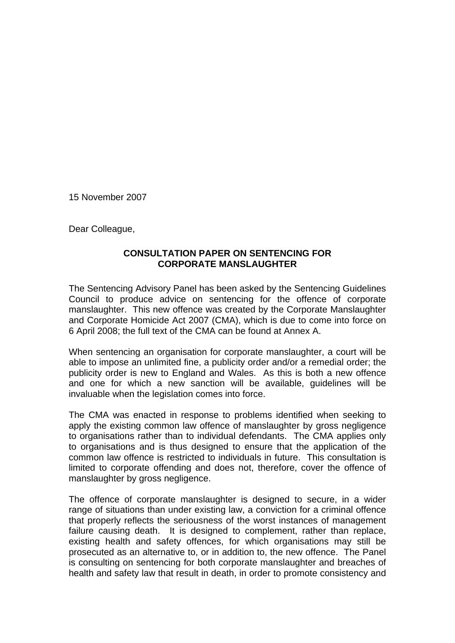15 November 2007

Dear Colleague,

# **CONSULTATION PAPER ON SENTENCING FOR CORPORATE MANSLAUGHTER**

The Sentencing Advisory Panel has been asked by the Sentencing Guidelines Council to produce advice on sentencing for the offence of corporate manslaughter. This new offence was created by the Corporate Manslaughter and Corporate Homicide Act 2007 (CMA), which is due to come into force on 6 April 2008; the full text of the CMA can be found at Annex A.

When sentencing an organisation for corporate manslaughter, a court will be able to impose an unlimited fine, a publicity order and/or a remedial order; the publicity order is new to England and Wales. As this is both a new offence and one for which a new sanction will be available, guidelines will be invaluable when the legislation comes into force.

The CMA was enacted in response to problems identified when seeking to apply the existing common law offence of manslaughter by gross negligence to organisations rather than to individual defendants. The CMA applies only to organisations and is thus designed to ensure that the application of the common law offence is restricted to individuals in future. This consultation is limited to corporate offending and does not, therefore, cover the offence of manslaughter by gross negligence.

The offence of corporate manslaughter is designed to secure, in a wider range of situations than under existing law, a conviction for a criminal offence that properly reflects the seriousness of the worst instances of management failure causing death. It is designed to complement, rather than replace, existing health and safety offences, for which organisations may still be prosecuted as an alternative to, or in addition to, the new offence. The Panel is consulting on sentencing for both corporate manslaughter and breaches of health and safety law that result in death, in order to promote consistency and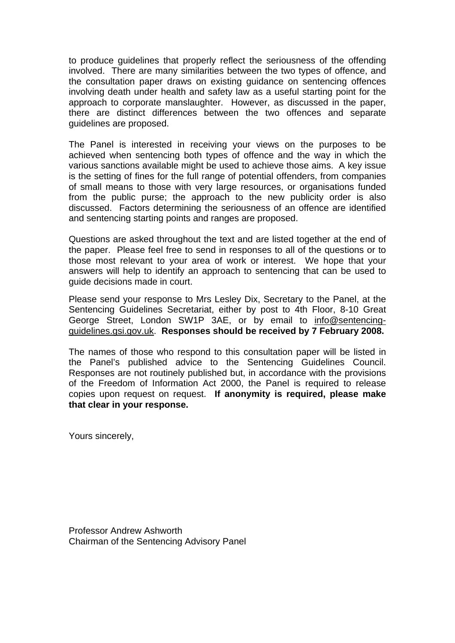to produce guidelines that properly reflect the seriousness of the offending involved. There are many similarities between the two types of offence, and the consultation paper draws on existing guidance on sentencing offences involving death under health and safety law as a useful starting point for the approach to corporate manslaughter. However, as discussed in the paper, there are distinct differences between the two offences and separate guidelines are proposed.

The Panel is interested in receiving your views on the purposes to be achieved when sentencing both types of offence and the way in which the various sanctions available might be used to achieve those aims. A key issue is the setting of fines for the full range of potential offenders, from companies of small means to those with very large resources, or organisations funded from the public purse; the approach to the new publicity order is also discussed. Factors determining the seriousness of an offence are identified and sentencing starting points and ranges are proposed.

Questions are asked throughout the text and are listed together at the end of the paper. Please feel free to send in responses to all of the questions or to those most relevant to your area of work or interest. We hope that your answers will help to identify an approach to sentencing that can be used to guide decisions made in court.

Please send your response to Mrs Lesley Dix, Secretary to the Panel, at the Sentencing Guidelines Secretariat, either by post to 4th Floor, 8-10 Great George Street, London SW1P 3AE, or by email to [info@sentencing](mailto:info@sentencing-guidelines.gsi.gov.uk)[guidelines.gsi.gov.uk](mailto:info@sentencing-guidelines.gsi.gov.uk). **Responses should be received by 7 February 2008.** 

The names of those who respond to this consultation paper will be listed in the Panel's published advice to the Sentencing Guidelines Council. Responses are not routinely published but, in accordance with the provisions of the Freedom of Information Act 2000, the Panel is required to release copies upon request on request. **If anonymity is required, please make that clear in your response.**

Yours sincerely,

Professor Andrew Ashworth Chairman of the Sentencing Advisory Panel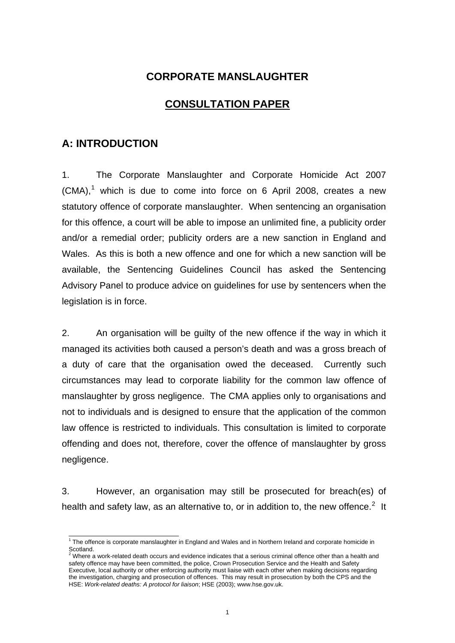# **CORPORATE MANSLAUGHTER**

# **CONSULTATION PAPER**

# **A: INTRODUCTION**

1. The Corporate Manslaughter and Corporate Homicide Act 2007  $(CMA)$ ,<sup>[1](#page-2-0)</sup> which is due to come into force on 6 April 2008, creates a new statutory offence of corporate manslaughter. When sentencing an organisation for this offence, a court will be able to impose an unlimited fine, a publicity order and/or a remedial order; publicity orders are a new sanction in England and Wales. As this is both a new offence and one for which a new sanction will be available, the Sentencing Guidelines Council has asked the Sentencing Advisory Panel to produce advice on guidelines for use by sentencers when the legislation is in force.

2. An organisation will be guilty of the new offence if the way in which it managed its activities both caused a person's death and was a gross breach of a duty of care that the organisation owed the deceased. Currently such circumstances may lead to corporate liability for the common law offence of manslaughter by gross negligence. The CMA applies only to organisations and not to individuals and is designed to ensure that the application of the common law offence is restricted to individuals. This consultation is limited to corporate offending and does not, therefore, cover the offence of manslaughter by gross negligence.

3. However, an organisation may still be prosecuted for breach(es) of health and safety law, as an alternative to, or in addition to, the new offence.<sup>[2](#page-2-1)</sup> It

<span id="page-2-0"></span> 1 The offence is corporate manslaughter in England and Wales and in Northern Ireland and corporate homicide in Scotland.<br><sup>2</sup> Where a work-related death occurs and evidence indicates that a serious criminal offence other than a health and

<span id="page-2-1"></span>safety offence may have been committed, the police, Crown Prosecution Service and the Health and Safety Executive, local authority or other enforcing authority must liaise with each other when making decisions regarding the investigation, charging and prosecution of offences. This may result in prosecution by both the CPS and the HSE: *Work-related deaths: A protocol for liaison*; HSE (2003); www.hse.gov.uk.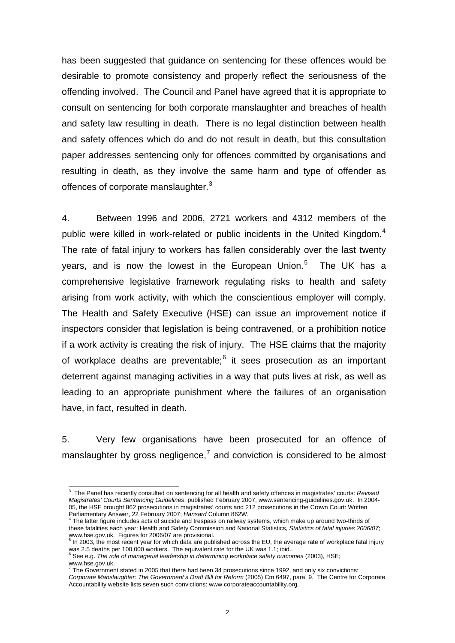has been suggested that guidance on sentencing for these offences would be desirable to promote consistency and properly reflect the seriousness of the offending involved. The Council and Panel have agreed that it is appropriate to consult on sentencing for both corporate manslaughter and breaches of health and safety law resulting in death. There is no legal distinction between health and safety offences which do and do not result in death, but this consultation paper addresses sentencing only for offences committed by organisations and resulting in death, as they involve the same harm and type of offender as offences of corporate manslaughter. $3$ 

4. Between 1996 and 2006, 2721 workers and 4312 members of the public were killed in work-related or public incidents in the United Kingdom. $4$ The rate of fatal injury to workers has fallen considerably over the last twenty years, and is now the lowest in the European Union.<sup>[5](#page-3-2)</sup> The UK has a comprehensive legislative framework regulating risks to health and safety arising from work activity, with which the conscientious employer will comply. The Health and Safety Executive (HSE) can issue an improvement notice if inspectors consider that legislation is being contravened, or a prohibition notice if a work activity is creating the risk of injury. The HSE claims that the majority of workplace deaths are preventable;<sup>[6](#page-3-3)</sup> it sees prosecution as an important deterrent against managing activities in a way that puts lives at risk, as well as leading to an appropriate punishment where the failures of an organisation have, in fact, resulted in death.

5. Very few organisations have been prosecuted for an offence of manslaughter by gross negligence, $<sup>7</sup>$  $<sup>7</sup>$  $<sup>7</sup>$  and conviction is considered to be almost</sup>

<span id="page-3-0"></span> 3 The Panel has recently consulted on sentencing for all health and safety offences in magistrates' courts: *Revised Magistrates' Courts Sentencing Guidelines*, published February 2007; [www.sentencing-guidelines.gov.uk](http://www.sentencing-guidelines.gov.uk/). In 2004- 05, the HSE brought 862 prosecutions in magistrates' courts and 212 prosecutions in the Crown Court: Written Parliamentary Answer, 22 February 2007; *Hansard* Column 862W.<br><sup>4</sup> The latter figure includes acts of suicide and trespass on railway systems, which make up around two-thirds of

<span id="page-3-1"></span>these fatalities each year: Health and Safety Commission and National Statistics, *Statistics of fatal injuries 2006/07*; www.hse.gov.uk. Figures for 2006/07 are provisional.<br>5 In 2008, the state for 2006/07 are provisional.

<span id="page-3-2"></span>In 2003, the most recent year for which data are published across the EU, the average rate of workplace fatal injury was 2.5 deaths per 100,000 workers. The equivalent rate for the UK was 1.1; ibid..<br><sup>6</sup> See e.g. *The role of managerial leadership in determining workplace safety outcomes* (2003), HSE;

<span id="page-3-3"></span>

www.hse.gov.uk.<br><sup>7</sup> The Government stated in 2005 that there had been 34 prosecutions since 1992, and only six convictions:

<span id="page-3-4"></span>*Corporate Manslaughter: The Government's Draft Bill for Reform* (2005) Cm 6497, para. 9. The Centre for Corporate Accountability website lists seven such convictions: www.corporateaccountability.org.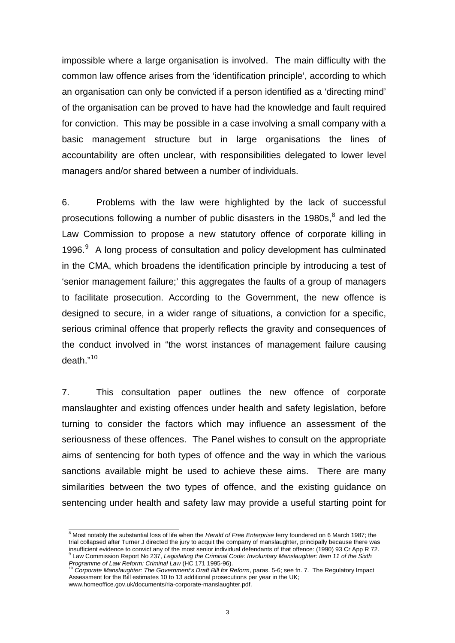impossible where a large organisation is involved. The main difficulty with the common law offence arises from the 'identification principle', according to which an organisation can only be convicted if a person identified as a 'directing mind' of the organisation can be proved to have had the knowledge and fault required for conviction. This may be possible in a case involving a small company with a basic management structure but in large organisations the lines of accountability are often unclear, with responsibilities delegated to lower level managers and/or shared between a number of individuals.

6. Problems with the law were highlighted by the lack of successful prosecutions following a number of public disasters in the 19[8](#page-4-0)0s, $^8$  and led the Law Commission to propose a new statutory offence of corporate killing in 1[9](#page-4-1)96.<sup>9</sup> A long process of consultation and policy development has culminated in the CMA, which broadens the identification principle by introducing a test of 'senior management failure;' this aggregates the faults of a group of managers to facilitate prosecution. According to the Government, the new offence is designed to secure, in a wider range of situations, a conviction for a specific, serious criminal offence that properly reflects the gravity and consequences of the conduct involved in "the worst instances of management failure causing death."[10](#page-4-2)

7. This consultation paper outlines the new offence of corporate manslaughter and existing offences under health and safety legislation, before turning to consider the factors which may influence an assessment of the seriousness of these offences. The Panel wishes to consult on the appropriate aims of sentencing for both types of offence and the way in which the various sanctions available might be used to achieve these aims. There are many similarities between the two types of offence, and the existing guidance on sentencing under health and safety law may provide a useful starting point for

<span id="page-4-0"></span> 8 Most notably the substantial loss of life when the *Herald of Free Enterprise* ferry foundered on 6 March 1987; the trial collapsed after Turner J directed the jury to acquit the company of manslaughter, principally because there was insufficient evidence to convict any of the most senior individual defendants of that offence: (1990) 93 Cr App R 72.<br><sup>9</sup> Law Commission Report No 237, *Legislating the Criminal Code: Involuntary Manslaughter: Item 11 of t* 

<span id="page-4-2"></span><span id="page-4-1"></span>*Programme of Law Reform: Criminal Law (HC 171 1995-96).*<br><sup>10</sup> *Corporate Manslaughter: The Government's Draft Bill for Reform, paras. 5-6; see fn. 7. The Regulatory Impact* Assessment for the Bill estimates 10 to 13 additional prosecutions per year in the UK; www.homeoffice.gov.uk/documents/ria-corporate-manslaughter.pdf.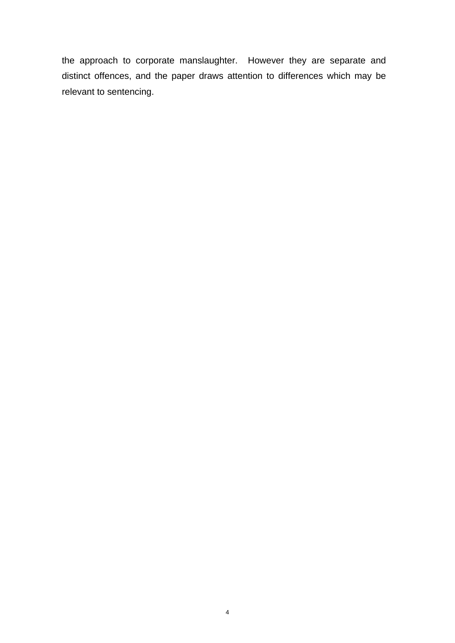the approach to corporate manslaughter. However they are separate and distinct offences, and the paper draws attention to differences which may be relevant to sentencing.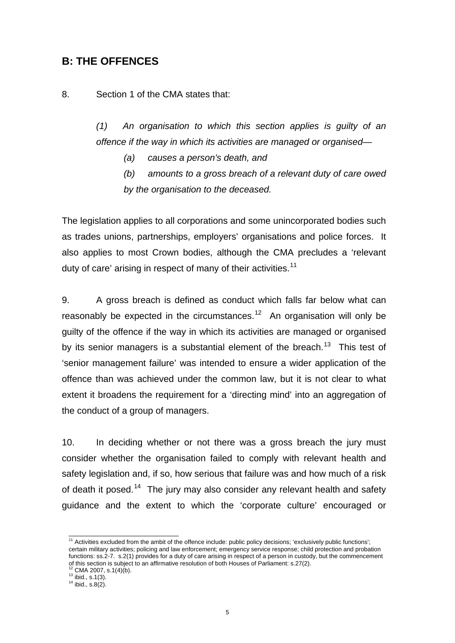# **B: THE OFFENCES**

8. Section 1 of the CMA states that:

*(1) An organisation to which this section applies is guilty of an offence if the way in which its activities are managed or organised—* 

*(a) causes a person's death, and* 

*(b) amounts to a gross breach of a relevant duty of care owed by the organisation to the deceased.*

The legislation applies to all corporations and some unincorporated bodies such as trades unions, partnerships, employers' organisations and police forces. It also applies to most Crown bodies, although the CMA precludes a 'relevant duty of care' arising in respect of many of their activities.<sup>[11](#page-6-0)</sup>

9. A gross breach is defined as conduct which falls far below what can reasonably be expected in the circumstances.<sup>[12](#page-6-1)</sup> An organisation will only be guilty of the offence if the way in which its activities are managed or organised by its senior managers is a substantial element of the breach.<sup>[13](#page-6-2)</sup> This test of 'senior management failure' was intended to ensure a wider application of the offence than was achieved under the common law, but it is not clear to what extent it broadens the requirement for a 'directing mind' into an aggregation of the conduct of a group of managers.

10. In deciding whether or not there was a gross breach the jury must consider whether the organisation failed to comply with relevant health and safety legislation and, if so, how serious that failure was and how much of a risk of death it posed.<sup>[14](#page-6-3)</sup> The jury may also consider any relevant health and safety guidance and the extent to which the 'corporate culture' encouraged or

<span id="page-6-0"></span> 11 Activities excluded from the ambit of the offence include: public policy decisions; 'exclusively public functions'; certain military activities; policing and law enforcement; emergency service response; child protection and probation functions: ss.2-7. s.2(1) provides for a duty of care arising in respect of a person in custody, but the commencement of this section is subject to an affirmative resolution of both Houses of Parliament: s.27(2).<br><sup>12</sup> CMA 2007, s.1(4)(b).<br><sup>13</sup> ibid., s.1(3).<br><sup>14</sup> ibid., s.8(2).

<span id="page-6-3"></span><span id="page-6-2"></span><span id="page-6-1"></span>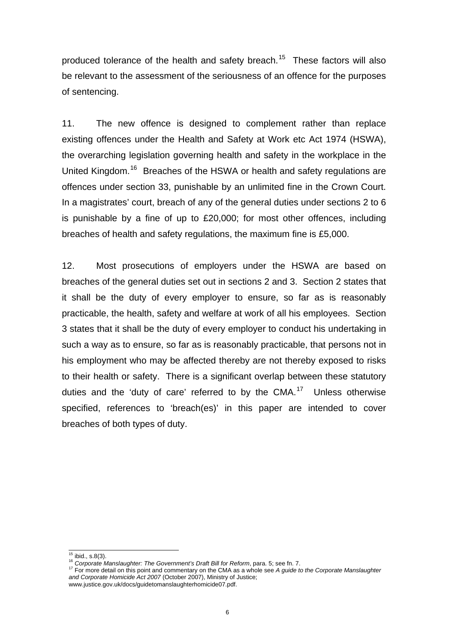produced tolerance of the health and safety breach.<sup>[15](#page-7-0)</sup> These factors will also be relevant to the assessment of the seriousness of an offence for the purposes of sentencing.

11. The new offence is designed to complement rather than replace existing offences under the Health and Safety at Work etc Act 1974 (HSWA), the overarching legislation governing health and safety in the workplace in the United Kingdom.<sup>[16](#page-7-1)</sup> Breaches of the HSWA or health and safety regulations are offences under section 33, punishable by an unlimited fine in the Crown Court. In a magistrates' court, breach of any of the general duties under sections 2 to 6 is punishable by a fine of up to £20,000; for most other offences, including breaches of health and safety regulations, the maximum fine is £5,000.

12. Most prosecutions of employers under the HSWA are based on breaches of the general duties set out in sections 2 and 3. Section 2 states that it shall be the duty of every employer to ensure, so far as is reasonably practicable, the health, safety and welfare at work of all his employees. Section 3 states that it shall be the duty of every employer to conduct his undertaking in such a way as to ensure, so far as is reasonably practicable, that persons not in his employment who may be affected thereby are not thereby exposed to risks to their health or safety. There is a significant overlap between these statutory duties and the 'duty of care' referred to by the  $CMA.<sup>17</sup>$  $CMA.<sup>17</sup>$  $CMA.<sup>17</sup>$  Unless otherwise specified, references to 'breach(es)' in this paper are intended to cover breaches of both types of duty.

 $15$  ibid., s.8(3).

<span id="page-7-2"></span><span id="page-7-1"></span><span id="page-7-0"></span><sup>&</sup>lt;sup>16</sup> Corporate Manslaughter: The Government's Draft Bill for Reform, para. 5; see fn. 7.<br><sup>17</sup> For more detail on this point and commentary on the CMA as a whole see A guide to the Corporate Manslaughter *and Corporate Homicide Act 2007* (October 2007), Ministry of Justice; www.justice.gov.uk/docs/guidetomanslaughterhomicide07.pdf.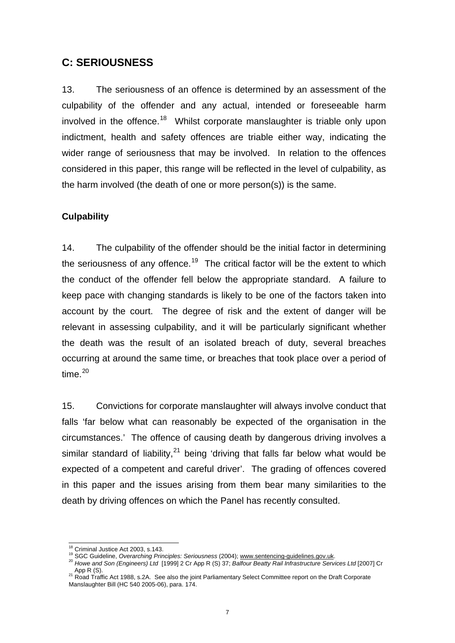# **C: SERIOUSNESS**

13. The seriousness of an offence is determined by an assessment of the culpability of the offender and any actual, intended or foreseeable harm involved in the offence.<sup>[18](#page-8-0)</sup> Whilst corporate manslaughter is triable only upon indictment, health and safety offences are triable either way, indicating the wider range of seriousness that may be involved. In relation to the offences considered in this paper, this range will be reflected in the level of culpability, as the harm involved (the death of one or more person(s)) is the same.

# **Culpability**

14. The culpability of the offender should be the initial factor in determining the seriousness of any offence.<sup>[19](#page-8-1)</sup> The critical factor will be the extent to which the conduct of the offender fell below the appropriate standard. A failure to keep pace with changing standards is likely to be one of the factors taken into account by the court. The degree of risk and the extent of danger will be relevant in assessing culpability, and it will be particularly significant whether the death was the result of an isolated breach of duty, several breaches occurring at around the same time, or breaches that took place over a period of time. $20$ 

15. Convictions for corporate manslaughter will always involve conduct that falls 'far below what can reasonably be expected of the organisation in the circumstances.' The offence of causing death by dangerous driving involves a similar standard of liability, $^{21}$  $^{21}$  $^{21}$  being 'driving that falls far below what would be expected of a competent and careful driver'. The grading of offences covered in this paper and the issues arising from them bear many similarities to the death by driving offences on which the Panel has recently consulted.

<sup>&</sup>lt;sup>18</sup> Criminal Justice Act 2003, s.143.

<span id="page-8-2"></span><span id="page-8-1"></span><span id="page-8-0"></span><sup>&</sup>lt;sup>19</sup> SGC Guideline, *Overarching Principles: Seriousness* (2004); [www.sentencing-guidelines.gov.uk.](http://www.sentencing-guidelines.gov.uk/)<br><sup>20</sup> Howe and Son (Engineers) Ltd [1999] 2 Cr App R (S) 37; Balfour Beatty Rail Infrastructure Services Ltd [2007] Cr App R (S).<br><sup>21</sup> Road Traffic Act 1988, s.2A. See also the joint Parliamentary Select Committee report on the Draft Corporate

<span id="page-8-3"></span>Manslaughter Bill (HC 540 2005-06), para. 174.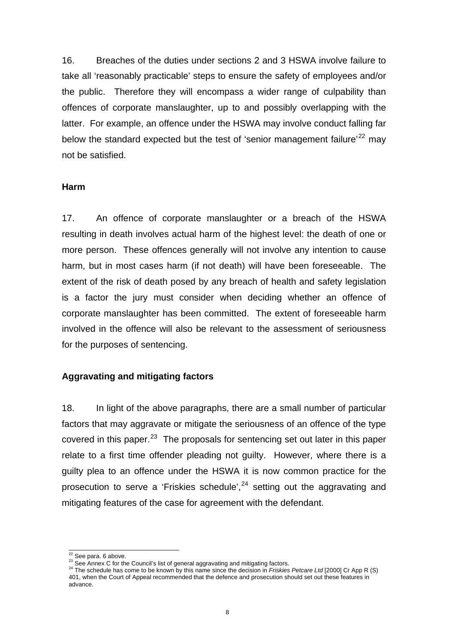16. Breaches of the duties under sections 2 and 3 HSWA involve failure to take all 'reasonably practicable' steps to ensure the safety of employees and/or the public. Therefore they will encompass a wider range of culpability than offences of corporate manslaughter, up to and possibly overlapping with the latter. For example, an offence under the HSWA may involve conduct falling far below the standard expected but the test of 'senior management failure'<sup>[22](#page-9-0)</sup> may not be satisfied.

### **Harm**

17. An offence of corporate manslaughter or a breach of the HSWA resulting in death involves actual harm of the highest level: the death of one or more person. These offences generally will not involve any intention to cause harm, but in most cases harm (if not death) will have been foreseeable. The extent of the risk of death posed by any breach of health and safety legislation is a factor the jury must consider when deciding whether an offence of corporate manslaughter has been committed. The extent of foreseeable harm involved in the offence will also be relevant to the assessment of seriousness for the purposes of sentencing.

# **Aggravating and mitigating factors**

18. In light of the above paragraphs, there are a small number of particular factors that may aggravate or mitigate the seriousness of an offence of the type covered in this paper.<sup>[23](#page-9-1)</sup> The proposals for sentencing set out later in this paper relate to a first time offender pleading not guilty. However, where there is a guilty plea to an offence under the HSWA it is now common practice for the prosecution to serve a 'Friskies schedule', $^{24}$  $^{24}$  $^{24}$  setting out the aggravating and mitigating features of the case for agreement with the defendant.

<sup>&</sup>lt;sup>22</sup> See para. 6 above.

<span id="page-9-2"></span><span id="page-9-1"></span><span id="page-9-0"></span>

<sup>&</sup>lt;sup>23</sup> See Annex C for the Council's list of general aggravating and mitigating factors.<br><sup>24</sup> The schedule has come to be known by this name since the decision in *Friskies Petcare Ltd* [2000] Cr App R (S) 401, when the Court of Appeal recommended that the defence and prosecution should set out these features in advance.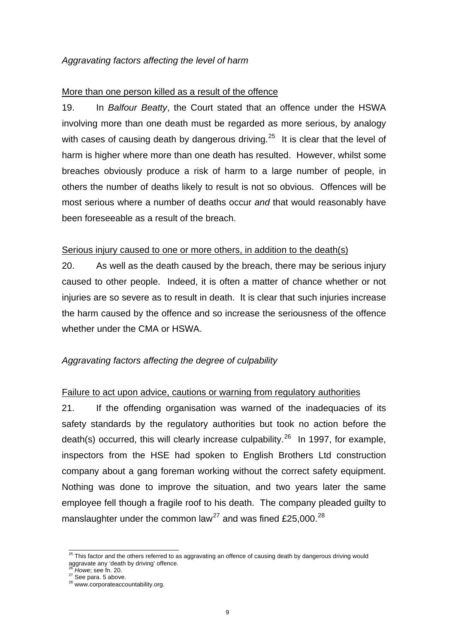# *Aggravating factors affecting the level of harm*

# More than one person killed as a result of the offence

19. In *Balfour Beatty*, the Court stated that an offence under the HSWA involving more than one death must be regarded as more serious, by analogy with cases of causing death by dangerous driving.<sup>[25](#page-10-0)</sup> It is clear that the level of harm is higher where more than one death has resulted. However, whilst some breaches obviously produce a risk of harm to a large number of people, in others the number of deaths likely to result is not so obvious. Offences will be most serious where a number of deaths occur *and* that would reasonably have been foreseeable as a result of the breach.

# Serious injury caused to one or more others, in addition to the death(s)

20. As well as the death caused by the breach, there may be serious injury caused to other people. Indeed, it is often a matter of chance whether or not injuries are so severe as to result in death. It is clear that such injuries increase the harm caused by the offence and so increase the seriousness of the offence whether under the CMA or HSWA.

# *Aggravating factors affecting the degree of culpability*

# Failure to act upon advice, cautions or warning from regulatory authorities

21. If the offending organisation was warned of the inadequacies of its safety standards by the regulatory authorities but took no action before the death(s) occurred, this will clearly increase culpability.<sup>[26](#page-10-1)</sup> In 1997, for example, inspectors from the HSE had spoken to English Brothers Ltd construction company about a gang foreman working without the correct safety equipment. Nothing was done to improve the situation, and two years later the same employee fell though a fragile roof to his death. The company pleaded guilty to manslaughter under the common law<sup>[27](#page-10-2)</sup> and was fined £25,000.<sup>[28](#page-10-3)</sup>

<span id="page-10-0"></span><sup>&</sup>lt;sup>25</sup> This factor and the others referred to as aggravating an offence of causing death by dangerous driving would aggravate any 'death by driving' offence.

<span id="page-10-3"></span><span id="page-10-2"></span><span id="page-10-1"></span><sup>&</sup>lt;sup>26</sup> *Howe*; see fn. 20.<br><sup>27</sup> See para. 5 above.<br><sup>28</sup> www.corporateaccountability.org.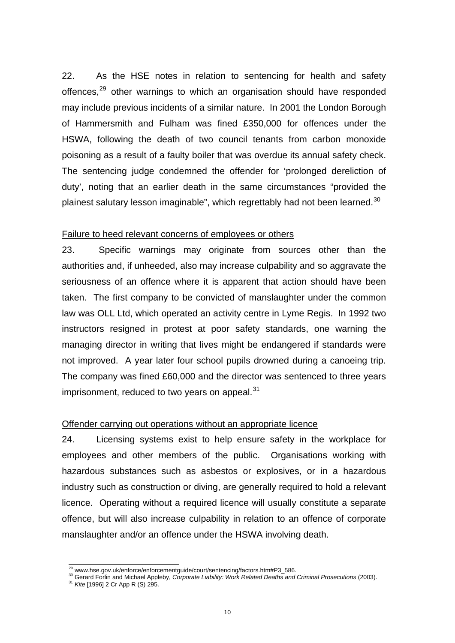22. As the HSE notes in relation to sentencing for health and safety offences,<sup>[29](#page-11-0)</sup> other warnings to which an organisation should have responded may include previous incidents of a similar nature. In 2001 the London Borough of Hammersmith and Fulham was fined £350,000 for offences under the HSWA, following the death of two council tenants from carbon monoxide poisoning as a result of a faulty boiler that was overdue its annual safety check. The sentencing judge condemned the offender for 'prolonged dereliction of duty', noting that an earlier death in the same circumstances "provided the plainest salutary lesson imaginable", which regrettably had not been learned.<sup>[30](#page-11-1)</sup>

### Failure to heed relevant concerns of employees or others

23. Specific warnings may originate from sources other than the authorities and, if unheeded, also may increase culpability and so aggravate the seriousness of an offence where it is apparent that action should have been taken. The first company to be convicted of manslaughter under the common law was OLL Ltd, which operated an activity centre in Lyme Regis. In 1992 two instructors resigned in protest at poor safety standards, one warning the managing director in writing that lives might be endangered if standards were not improved. A year later four school pupils drowned during a canoeing trip. The company was fined £60,000 and the director was sentenced to three years imprisonment, reduced to two years on appeal.<sup>[31](#page-11-2)</sup>

### Offender carrying out operations without an appropriate licence

24. Licensing systems exist to help ensure safety in the workplace for employees and other members of the public. Organisations working with hazardous substances such as asbestos or explosives, or in a hazardous industry such as construction or diving, are generally required to hold a relevant licence. Operating without a required licence will usually constitute a separate offence, but will also increase culpability in relation to an offence of corporate manslaughter and/or an offence under the HSWA involving death.

<sup>&</sup>lt;sup>29</sup> www.hse.gov.uk/enforce/enforcementguide/court/sentencing/factors.htm#P3\_586.

<span id="page-11-2"></span><span id="page-11-1"></span><span id="page-11-0"></span><sup>30</sup> Gerard Forlin and Michael Appleby, Corporate Liability: Work Related Deaths and Criminal Prosecutions (2003).<br>31 Kite [1996] 2 Cr App R (S) 295.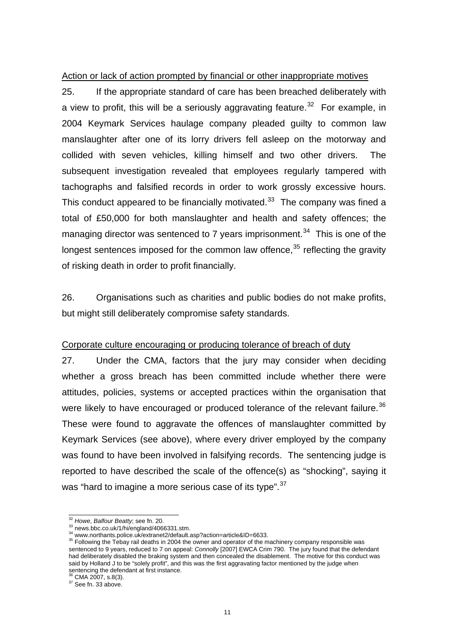# Action or lack of action prompted by financial or other inappropriate motives

25. If the appropriate standard of care has been breached deliberately with a view to profit, this will be a seriously aggravating feature.<sup>[32](#page-12-0)</sup> For example, in 2004 Keymark Services haulage company pleaded guilty to common law manslaughter after one of its lorry drivers fell asleep on the motorway and collided with seven vehicles, killing himself and two other drivers. The subsequent investigation revealed that employees regularly tampered with tachographs and falsified records in order to work grossly excessive hours. This conduct appeared to be financially motivated.<sup>[33](#page-12-1)</sup> The company was fined a total of £50,000 for both manslaughter and health and safety offences; the managing director was sentenced to 7 years imprisonment.<sup>[34](#page-12-2)</sup> This is one of the longest sentences imposed for the common law offence,  $35$  reflecting the gravity of risking death in order to profit financially.

26. Organisations such as charities and public bodies do not make profits, but might still deliberately compromise safety standards.

### Corporate culture encouraging or producing tolerance of breach of duty

27. Under the CMA, factors that the jury may consider when deciding whether a gross breach has been committed include whether there were attitudes, policies, systems or accepted practices within the organisation that were likely to have encouraged or produced tolerance of the relevant failure.<sup>[36](#page-12-4)</sup> These were found to aggravate the offences of manslaughter committed by Keymark Services (see above), where every driver employed by the company was found to have been involved in falsifying records. The sentencing judge is reported to have described the scale of the offence(s) as "shocking", saying it was "hard to imagine a more serious case of its type".<sup>[37](#page-12-5)</sup>

<sup>&</sup>lt;sup>32</sup> Howe. Balfour Beatty; see fn. 20.

<span id="page-12-3"></span>

<span id="page-12-2"></span><span id="page-12-1"></span><span id="page-12-0"></span> $^{33}$  news.bbc.co.uk/1/hi/england/4066331.stm.<br> $^{34}$  www.northants.police.uk/extranet2/default.asp?action=article&ID=6633.<br> $^{34}$  Following the Tebay rail deaths in 2004 the owner and operator of the machinery company r sentenced to 9 years, reduced to 7 on appeal: *Connolly* [2007] EWCA Crim 790. The jury found that the defendant had deliberately disabled the braking system and then concealed the disablement. The motive for this conduct was said by Holland J to be "solely profit", and this was the first aggravating factor mentioned by the judge when sentencing the defendant at first instance.<br> $36$  CMA 2007, s.8(3).

<span id="page-12-5"></span><span id="page-12-4"></span>

 $37$  See fn. 33 above.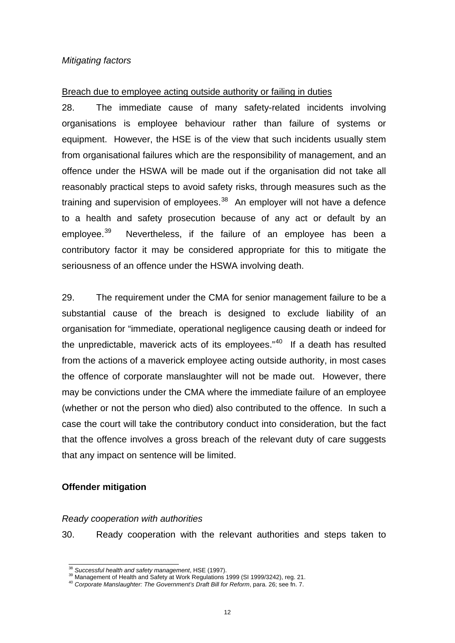# *Mitigating factors*

### Breach due to employee acting outside authority or failing in duties

28. The immediate cause of many safety-related incidents involving organisations is employee behaviour rather than failure of systems or equipment. However, the HSE is of the view that such incidents usually stem from organisational failures which are the responsibility of management, and an offence under the HSWA will be made out if the organisation did not take all reasonably practical steps to avoid safety risks, through measures such as the training and supervision of employees. $38$  An employer will not have a defence to a health and safety prosecution because of any act or default by an employee.<sup>[39](#page-13-1)</sup> Nevertheless, if the failure of an employee has been a contributory factor it may be considered appropriate for this to mitigate the seriousness of an offence under the HSWA involving death.

29. The requirement under the CMA for senior management failure to be a substantial cause of the breach is designed to exclude liability of an organisation for "immediate, operational negligence causing death or indeed for the unpredictable, maverick acts of its employees." $40$  If a death has resulted from the actions of a maverick employee acting outside authority, in most cases the offence of corporate manslaughter will not be made out. However, there may be convictions under the CMA where the immediate failure of an employee (whether or not the person who died) also contributed to the offence. In such a case the court will take the contributory conduct into consideration, but the fact that the offence involves a gross breach of the relevant duty of care suggests that any impact on sentence will be limited.

# **Offender mitigation**

### *Ready cooperation with authorities*

30. Ready cooperation with the relevant authorities and steps taken to

<span id="page-13-0"></span><sup>&</sup>lt;sup>38</sup> Successful health and safety management, HSE (1997).

Management of Health and Safety at Work Regulations 1999 (SI 1999/3242), reg. 21.<br><sup>40</sup> Corporate Manslaughter: The Government's Draft Bill for Reform, para. 26; see fn. 7.

<span id="page-13-2"></span><span id="page-13-1"></span>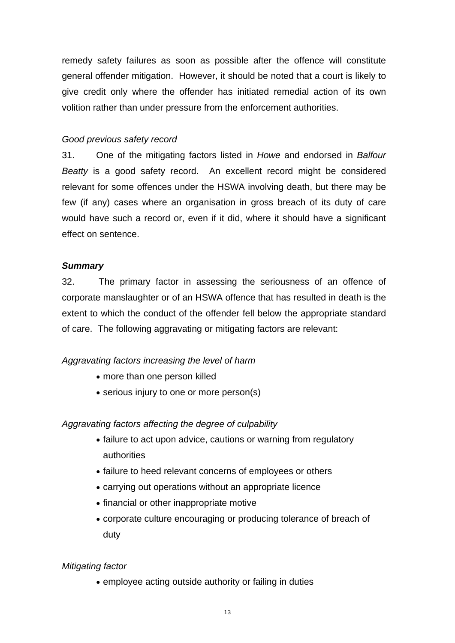remedy safety failures as soon as possible after the offence will constitute general offender mitigation. However, it should be noted that a court is likely to give credit only where the offender has initiated remedial action of its own volition rather than under pressure from the enforcement authorities.

# *Good previous safety record*

31. One of the mitigating factors listed in *Howe* and endorsed in *Balfour Beatty* is a good safety record. An excellent record might be considered relevant for some offences under the HSWA involving death, but there may be few (if any) cases where an organisation in gross breach of its duty of care would have such a record or, even if it did, where it should have a significant effect on sentence.

# *Summary*

32. The primary factor in assessing the seriousness of an offence of corporate manslaughter or of an HSWA offence that has resulted in death is the extent to which the conduct of the offender fell below the appropriate standard of care. The following aggravating or mitigating factors are relevant:

# *Aggravating factors increasing the level of harm*

- more than one person killed
- serious injury to one or more person(s)

*Aggravating factors affecting the degree of culpability* 

- failure to act upon advice, cautions or warning from regulatory authorities
- failure to heed relevant concerns of employees or others
- carrying out operations without an appropriate licence
- financial or other inappropriate motive
- corporate culture encouraging or producing tolerance of breach of duty

# *Mitigating factor*

• employee acting outside authority or failing in duties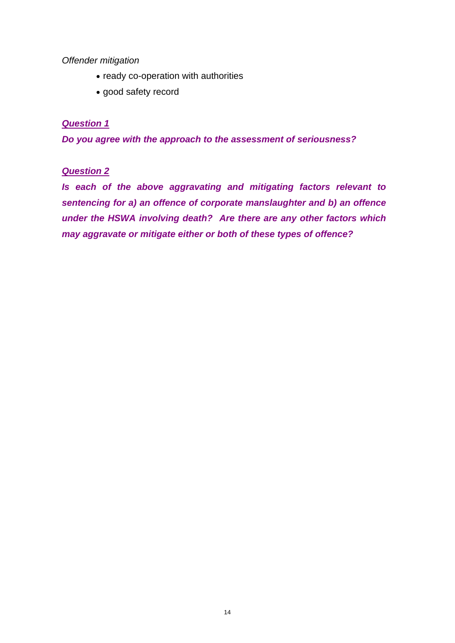# *Offender mitigation*

- ready co-operation with authorities
- good safety record

# *Question 1*

*Do you agree with the approach to the assessment of seriousness?* 

# *Question 2*

*Is each of the above aggravating and mitigating factors relevant to sentencing for a) an offence of corporate manslaughter and b) an offence under the HSWA involving death? Are there are any other factors which may aggravate or mitigate either or both of these types of offence?*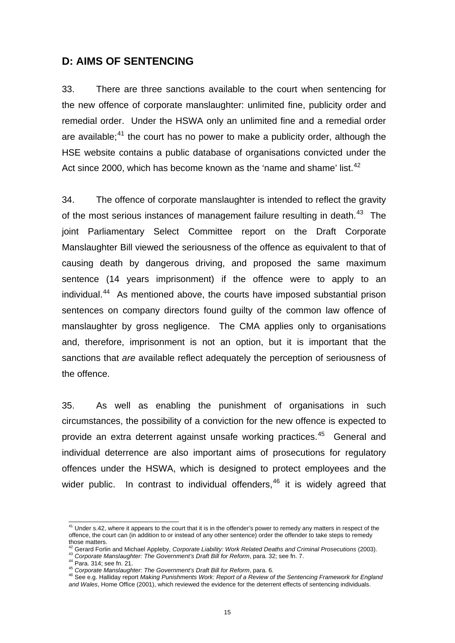# **D: AIMS OF SENTENCING**

33. There are three sanctions available to the court when sentencing for the new offence of corporate manslaughter: unlimited fine, publicity order and remedial order. Under the HSWA only an unlimited fine and a remedial order are available;<sup>[41](#page-16-0)</sup> the court has no power to make a publicity order, although the HSE website contains a public database of organisations convicted under the Act since 2000, which has become known as the 'name and shame' list.<sup>[42](#page-16-1)</sup>

34. The offence of corporate manslaughter is intended to reflect the gravity of the most serious instances of management failure resulting in death.  $43$  The joint Parliamentary Select Committee report on the Draft Corporate Manslaughter Bill viewed the seriousness of the offence as equivalent to that of causing death by dangerous driving, and proposed the same maximum sentence (14 years imprisonment) if the offence were to apply to an individual.<sup>[44](#page-16-3)</sup> As mentioned above, the courts have imposed substantial prison sentences on company directors found guilty of the common law offence of manslaughter by gross negligence. The CMA applies only to organisations and, therefore, imprisonment is not an option, but it is important that the sanctions that *are* available reflect adequately the perception of seriousness of the offence.

35. As well as enabling the punishment of organisations in such circumstances, the possibility of a conviction for the new offence is expected to provide an extra deterrent against unsafe working practices.<sup>[45](#page-16-4)</sup> General and individual deterrence are also important aims of prosecutions for regulatory offences under the HSWA, which is designed to protect employees and the wider public. In contrast to individual offenders,  $46$  it is widely agreed that

<span id="page-16-1"></span><span id="page-16-0"></span> 41 Under s.42, where it appears to the court that it is in the offender's power to remedy any matters in respect of the offence, the court can (in addition to or instead of any other sentence) order the offender to take steps to remedy those matters.<br><sup>42</sup> Gerard Forlin and Michael Appleby, Corporate Liability: Work Related Deaths and Criminal Prosecutions (2003).

<span id="page-16-5"></span><span id="page-16-4"></span>

<span id="page-16-3"></span><span id="page-16-2"></span>Gerard Form and Michael Appleby, Corporate Liability, Work Rodico Double and Discussion (1998)<br><sup>43</sup> Corporate Manslaughter: The Government's Draft Bill for Reform, para. 32; see fn. 7.<br><sup>45</sup> Corporate Manslaughter: The Gove *and Wales*, Home Office (2001), which reviewed the evidence for the deterrent effects of sentencing individuals.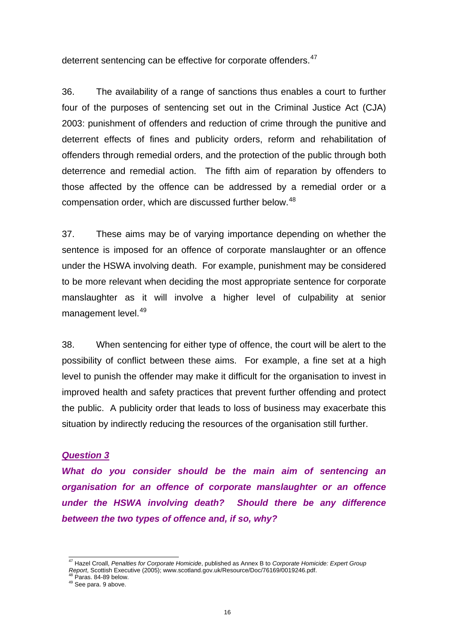deterrent sentencing can be effective for corporate offenders.<sup>[47](#page-17-0)</sup>

36. The availability of a range of sanctions thus enables a court to further four of the purposes of sentencing set out in the Criminal Justice Act (CJA) 2003: punishment of offenders and reduction of crime through the punitive and deterrent effects of fines and publicity orders, reform and rehabilitation of offenders through remedial orders, and the protection of the public through both deterrence and remedial action. The fifth aim of reparation by offenders to those affected by the offence can be addressed by a remedial order or a compensation order, which are discussed further below.<sup>[48](#page-17-1)</sup>

37. These aims may be of varying importance depending on whether the sentence is imposed for an offence of corporate manslaughter or an offence under the HSWA involving death. For example, punishment may be considered to be more relevant when deciding the most appropriate sentence for corporate manslaughter as it will involve a higher level of culpability at senior management level.<sup>[49](#page-17-2)</sup>

38. When sentencing for either type of offence, the court will be alert to the possibility of conflict between these aims. For example, a fine set at a high level to punish the offender may make it difficult for the organisation to invest in improved health and safety practices that prevent further offending and protect the public. A publicity order that leads to loss of business may exacerbate this situation by indirectly reducing the resources of the organisation still further.

# *Question 3*

*What do you consider should be the main aim of sentencing an organisation for an offence of corporate manslaughter or an offence under the HSWA involving death? Should there be any difference between the two types of offence and, if so, why?* 

<span id="page-17-0"></span> 47 Hazel Croall, *Penalties for Corporate Homicide*, published as Annex B to *Corporate Homicide: Expert Group Report*, Scottish Executive (2005); www.scotland.gov.uk/Resource/Doc/76169/0019246.pdf.<br><sup>48</sup> Paras. 84-89 below.<br><sup>49</sup> See para. 9 above.

<span id="page-17-2"></span><span id="page-17-1"></span>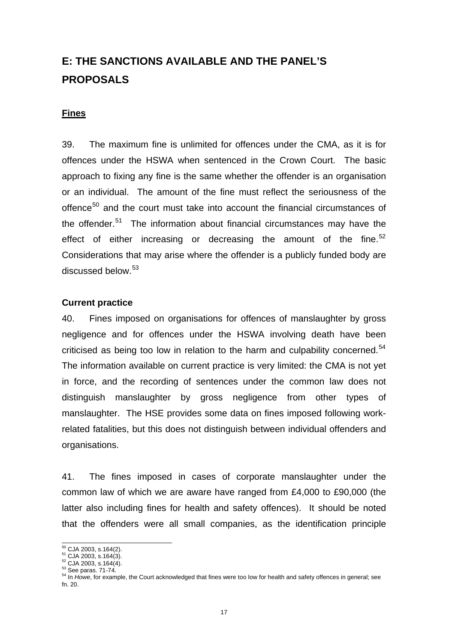# **E: THE SANCTIONS AVAILABLE AND THE PANEL'S PROPOSALS**

# **Fines**

39. The maximum fine is unlimited for offences under the CMA, as it is for offences under the HSWA when sentenced in the Crown Court. The basic approach to fixing any fine is the same whether the offender is an organisation or an individual. The amount of the fine must reflect the seriousness of the offence<sup>[50](#page-18-0)</sup> and the court must take into account the financial circumstances of the offender.<sup>[51](#page-18-1)</sup> The information about financial circumstances may have the effect of either increasing or decreasing the amount of the fine. $52$ Considerations that may arise where the offender is a publicly funded body are discussed below.<sup>[53](#page-18-3)</sup>

### **Current practice**

40. Fines imposed on organisations for offences of manslaughter by gross negligence and for offences under the HSWA involving death have been criticised as being too low in relation to the harm and culpability concerned.<sup>[54](#page-18-4)</sup> The information available on current practice is very limited: the CMA is not yet in force, and the recording of sentences under the common law does not distinguish manslaughter by gross negligence from other types of manslaughter. The HSE provides some data on fines imposed following workrelated fatalities, but this does not distinguish between individual offenders and organisations.

41. The fines imposed in cases of corporate manslaughter under the common law of which we are aware have ranged from £4,000 to £90,000 (the latter also including fines for health and safety offences). It should be noted that the offenders were all small companies, as the identification principle

 $\frac{1}{50}$  CJA 2003, s.164(2).

<span id="page-18-2"></span>

<span id="page-18-4"></span><span id="page-18-3"></span>

<span id="page-18-1"></span><span id="page-18-0"></span><sup>51</sup> CJA 2003, s.164(3).<br><sup>52</sup> CJA 2003, s.164(4).<br><sup>52</sup> CJA 2003, s.164(4).<br><sup>53</sup> See paras. 71-74.<br><sup>54</sup> In *Howe*, for example, the Court acknowledged that fines were too low for health and safety offences in general; see fn. 20.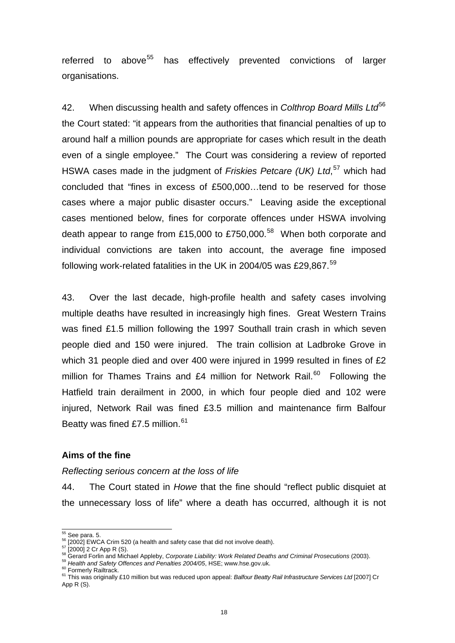referred to above<sup>[55](#page-19-0)</sup> has effectively prevented convictions of larger organisations.

42. When discussing health and safety offences in *Colthrop Board Mills Ltd*<sup>[56](#page-19-1)</sup> the Court stated: "it appears from the authorities that financial penalties of up to around half a million pounds are appropriate for cases which result in the death even of a single employee." The Court was considering a review of reported HSWA cases made in the judgment of *Friskies Petcare (UK) Ltd*,<sup>[57](#page-19-2)</sup> which had concluded that "fines in excess of £500,000…tend to be reserved for those cases where a major public disaster occurs." Leaving aside the exceptional cases mentioned below, fines for corporate offences under HSWA involving death appear to range from £15,000 to £750,000.<sup>[58](#page-19-3)</sup> When both corporate and individual convictions are taken into account, the average fine imposed following work-related fatalities in the UK in 2004/05 was £29,867.[59](#page-19-4)

43. Over the last decade, high-profile health and safety cases involving multiple deaths have resulted in increasingly high fines. Great Western Trains was fined £1.5 million following the 1997 Southall train crash in which seven people died and 150 were injured. The train collision at Ladbroke Grove in which 31 people died and over 400 were injured in 1999 resulted in fines of £2 million for Thames Trains and £4 million for Network Rail.<sup>[60](#page-19-5)</sup> Following the Hatfield train derailment in 2000, in which four people died and 102 were injured, Network Rail was fined £3.5 million and maintenance firm Balfour Beatty was fined £7.5 million.<sup>[61](#page-19-6)</sup>

### **Aims of the fine**

#### *Reflecting serious concern at the loss of life*

44. The Court stated in *Howe* that the fine should "reflect public disquiet at the unnecessary loss of life" where a death has occurred, although it is not

<span id="page-19-4"></span>

<span id="page-19-6"></span><span id="page-19-5"></span>

<span id="page-19-0"></span> $\overline{55}$  See para. 5.

<span id="page-19-3"></span>

<span id="page-19-2"></span><span id="page-19-1"></span><sup>&</sup>lt;sup>56</sup> [2002] EWCA Crim 520 (a health and safety case that did not involve death).<br><sup>57</sup> [2000] 2 Cr App R (S).<br><sup>58</sup> Gerard Forlin and Michael Appleby, *Corporate Liability: Work Related Deaths and Criminal Prosecutions* (200 App R (S).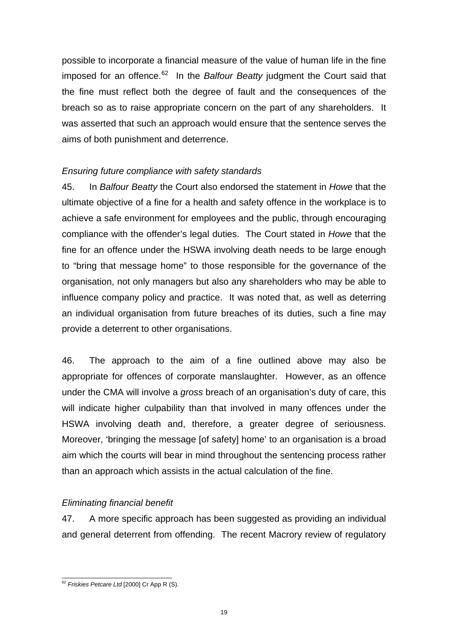possible to incorporate a financial measure of the value of human life in the fine imposed for an offence.<sup>[62](#page-20-0)</sup> In the *Balfour Beatty* judgment the Court said that the fine must reflect both the degree of fault and the consequences of the breach so as to raise appropriate concern on the part of any shareholders. It was asserted that such an approach would ensure that the sentence serves the aims of both punishment and deterrence.

# *Ensuring future compliance with safety standards*

45. In *Balfour Beatty* the Court also endorsed the statement in *Howe* that the ultimate objective of a fine for a health and safety offence in the workplace is to achieve a safe environment for employees and the public, through encouraging compliance with the offender's legal duties. The Court stated in *Howe* that the fine for an offence under the HSWA involving death needs to be large enough to "bring that message home" to those responsible for the governance of the organisation, not only managers but also any shareholders who may be able to influence company policy and practice. It was noted that, as well as deterring an individual organisation from future breaches of its duties, such a fine may provide a deterrent to other organisations.

46. The approach to the aim of a fine outlined above may also be appropriate for offences of corporate manslaughter. However, as an offence under the CMA will involve a *gross* breach of an organisation's duty of care, this will indicate higher culpability than that involved in many offences under the HSWA involving death and, therefore, a greater degree of seriousness. Moreover, 'bringing the message [of safety] home' to an organisation is a broad aim which the courts will bear in mind throughout the sentencing process rather than an approach which assists in the actual calculation of the fine.

# *Eliminating financial benefit*

47. A more specific approach has been suggested as providing an individual and general deterrent from offending. The recent Macrory review of regulatory

<span id="page-20-0"></span> <sup>62</sup> *Friskies Petcare Ltd* [2000] Cr App R (S).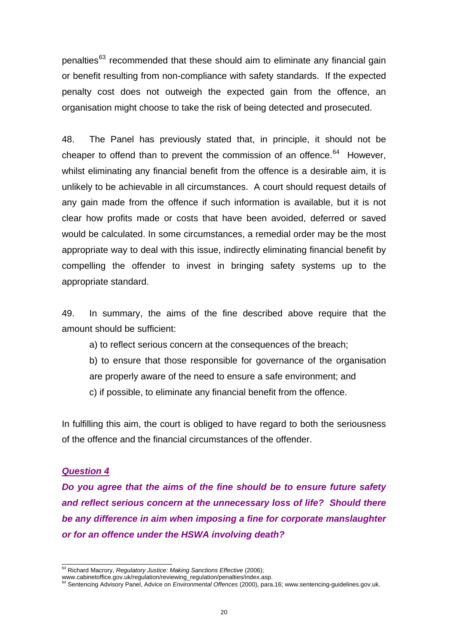penalties<sup>[63](#page-21-0)</sup> recommended that these should aim to eliminate any financial gain or benefit resulting from non-compliance with safety standards. If the expected penalty cost does not outweigh the expected gain from the offence, an organisation might choose to take the risk of being detected and prosecuted.

48. The Panel has previously stated that, in principle, it should not be cheaper to offend than to prevent the commission of an offence.  $64$  However, whilst eliminating any financial benefit from the offence is a desirable aim, it is unlikely to be achievable in all circumstances. A court should request details of any gain made from the offence if such information is available, but it is not clear how profits made or costs that have been avoided, deferred or saved would be calculated. In some circumstances, a remedial order may be the most appropriate way to deal with this issue, indirectly eliminating financial benefit by compelling the offender to invest in bringing safety systems up to the appropriate standard.

49. In summary, the aims of the fine described above require that the amount should be sufficient:

a) to reflect serious concern at the consequences of the breach;

b) to ensure that those responsible for governance of the organisation

are properly aware of the need to ensure a safe environment; and

c) if possible, to eliminate any financial benefit from the offence.

In fulfilling this aim, the court is obliged to have regard to both the seriousness of the offence and the financial circumstances of the offender.

# *Question 4*

*Do you agree that the aims of the fine should be to ensure future safety and reflect serious concern at the unnecessary loss of life? Should there be any difference in aim when imposing a fine for corporate manslaughter or for an offence under the HSWA involving death?* 

 63 Richard Macrory, *Regulatory Justice: Making Sanctions Effective* (2006);

<span id="page-21-1"></span>

<span id="page-21-0"></span>www.cabinetoffice.gov.uk/regulation/reviewing\_regulation/penalties/index.asp.<br><sup>64</sup> Sentencing Advisory Panel, Advice on *Environmental Offences* (2000), para.16; www.sentencing-guidelines.gov.uk.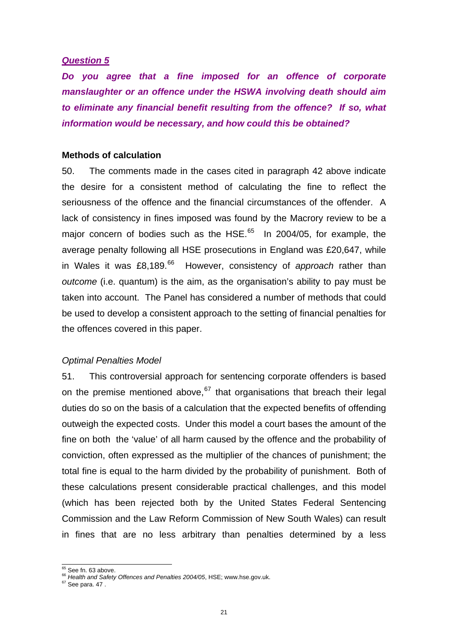#### *Question 5*

*Do you agree that a fine imposed for an offence of corporate manslaughter or an offence under the HSWA involving death should aim to eliminate any financial benefit resulting from the offence? If so, what information would be necessary, and how could this be obtained?* 

### **Methods of calculation**

50. The comments made in the cases cited in paragraph 42 above indicate the desire for a consistent method of calculating the fine to reflect the seriousness of the offence and the financial circumstances of the offender. A lack of consistency in fines imposed was found by the Macrory review to be a major concern of bodies such as the HSE. $^{65}$  $^{65}$  $^{65}$  In 2004/05, for example, the average penalty following all HSE prosecutions in England was £20,647, while in Wales it was £8,189.<sup>[66](#page-22-1)</sup> However, consistency of *approach* rather than *outcome* (i.e. quantum) is the aim, as the organisation's ability to pay must be taken into account. The Panel has considered a number of methods that could be used to develop a consistent approach to the setting of financial penalties for the offences covered in this paper.

#### *Optimal Penalties Model*

51. This controversial approach for sentencing corporate offenders is based on the premise mentioned above.<sup>[67](#page-22-2)</sup> that organisations that breach their legal duties do so on the basis of a calculation that the expected benefits of offending outweigh the expected costs. Under this model a court bases the amount of the fine on both the 'value' of all harm caused by the offence and the probability of conviction, often expressed as the multiplier of the chances of punishment; the total fine is equal to the harm divided by the probability of punishment. Both of these calculations present considerable practical challenges, and this model (which has been rejected both by the United States Federal Sentencing Commission and the Law Reform Commission of New South Wales) can result in fines that are no less arbitrary than penalties determined by a less

<span id="page-22-0"></span> $65$  See fn. 63 above.

<span id="page-22-1"></span><sup>66</sup> Health and Safety Offences and Penalties 2004/05, HSE; www.hse.gov.uk.<br><sup>67</sup> See para. 47 .

<span id="page-22-2"></span>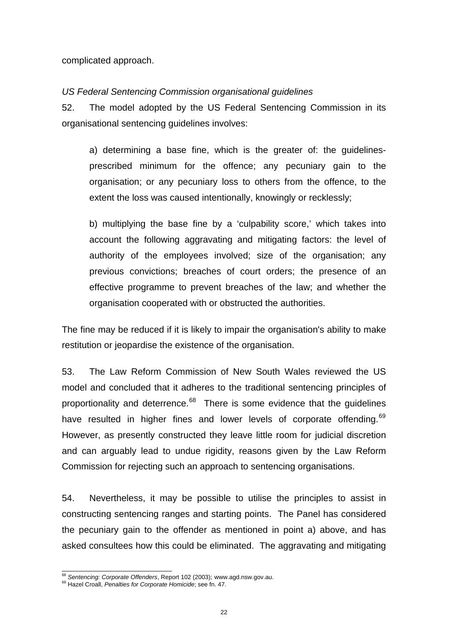complicated approach.

# *US Federal Sentencing Commission organisational guidelines*

52. The model adopted by the US Federal Sentencing Commission in its organisational sentencing guidelines involves:

a) determining a base fine, which is the greater of: the guidelinesprescribed minimum for the offence; any pecuniary gain to the organisation; or any pecuniary loss to others from the offence, to the extent the loss was caused intentionally, knowingly or recklessly;

b) multiplying the base fine by a 'culpability score,' which takes into account the following aggravating and mitigating factors: the level of authority of the employees involved; size of the organisation; any previous convictions; breaches of court orders; the presence of an effective programme to prevent breaches of the law; and whether the organisation cooperated with or obstructed the authorities.

The fine may be reduced if it is likely to impair the organisation's ability to make restitution or jeopardise the existence of the organisation.

53. The Law Reform Commission of New South Wales reviewed the US model and concluded that it adheres to the traditional sentencing principles of proportionality and deterrence. $68$  There is some evidence that the guidelines have resulted in higher fines and lower levels of corporate offending.<sup>[69](#page-23-1)</sup> However, as presently constructed they leave little room for judicial discretion and can arguably lead to undue rigidity, reasons given by the Law Reform Commission for rejecting such an approach to sentencing organisations.

54. Nevertheless, it may be possible to utilise the principles to assist in constructing sentencing ranges and starting points. The Panel has considered the pecuniary gain to the offender as mentioned in point a) above, and has asked consultees how this could be eliminated. The aggravating and mitigating

 <sup>68</sup> *Sentencing: Corporate Offenders*, Report 102 (2003); www.agd.nsw.gov.au. 69 Hazel Croall, *Penalties for Corporate Homicide*; see fn. 47.

<span id="page-23-1"></span><span id="page-23-0"></span>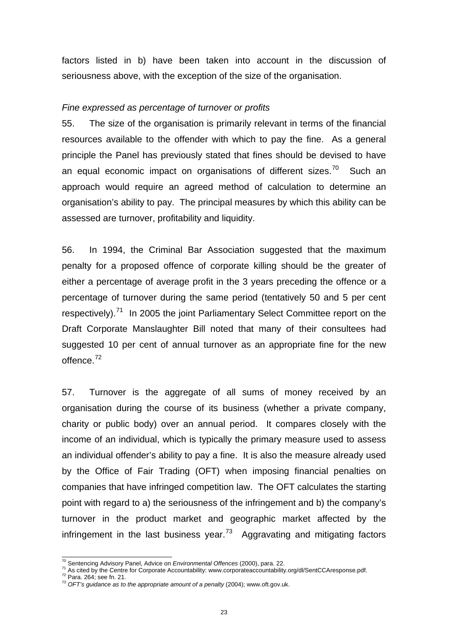factors listed in b) have been taken into account in the discussion of seriousness above, with the exception of the size of the organisation.

### *Fine expressed as percentage of turnover or profits*

55. The size of the organisation is primarily relevant in terms of the financial resources available to the offender with which to pay the fine. As a general principle the Panel has previously stated that fines should be devised to have an equal economic impact on organisations of different sizes.<sup>[70](#page-24-0)</sup> Such an approach would require an agreed method of calculation to determine an organisation's ability to pay. The principal measures by which this ability can be assessed are turnover, profitability and liquidity.

56. In 1994, the Criminal Bar Association suggested that the maximum penalty for a proposed offence of corporate killing should be the greater of either a percentage of average profit in the 3 years preceding the offence or a percentage of turnover during the same period (tentatively 50 and 5 per cent respectively).<sup>[71](#page-24-1)</sup> In 2005 the joint Parliamentary Select Committee report on the Draft Corporate Manslaughter Bill noted that many of their consultees had suggested 10 per cent of annual turnover as an appropriate fine for the new offence.<sup>[72](#page-24-2)</sup>

57. Turnover is the aggregate of all sums of money received by an organisation during the course of its business (whether a private company, charity or public body) over an annual period. It compares closely with the income of an individual, which is typically the primary measure used to assess an individual offender's ability to pay a fine. It is also the measure already used by the Office of Fair Trading (OFT) when imposing financial penalties on companies that have infringed competition law. The OFT calculates the starting point with regard to a) the seriousness of the infringement and b) the company's turnover in the product market and geographic market affected by the infringement in the last business year.<sup>[73](#page-24-3)</sup> Aggravating and mitigating factors

<span id="page-24-0"></span><sup>70</sup> Sentencing Advisory Panel, Advice on Environmental Offences (2000), para. 22.

<span id="page-24-1"></span><sup>71</sup> Bis cited by the Centre for Corporate Accountability: www.corporateaccountability.org/dl/SentCCAresponse.pdf.<br><sup>72</sup> Para. 264; see fn. 21.<br><sup>73</sup> OFT's quidance as to the appropriate amount of a penalty (2004); www.oft.gov

<span id="page-24-3"></span><span id="page-24-2"></span>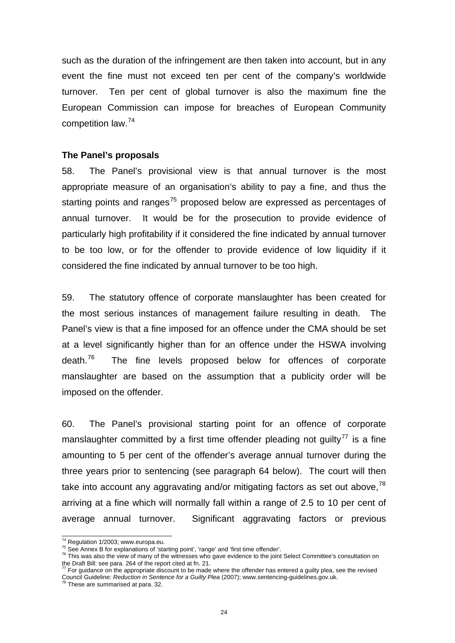such as the duration of the infringement are then taken into account, but in any event the fine must not exceed ten per cent of the company's worldwide turnover. Ten per cent of global turnover is also the maximum fine the European Commission can impose for breaches of European Community competition law.[74](#page-25-0)

### **The Panel's proposals**

58. The Panel's provisional view is that annual turnover is the most appropriate measure of an organisation's ability to pay a fine, and thus the starting points and ranges<sup>[75](#page-25-1)</sup> proposed below are expressed as percentages of annual turnover. It would be for the prosecution to provide evidence of particularly high profitability if it considered the fine indicated by annual turnover to be too low, or for the offender to provide evidence of low liquidity if it considered the fine indicated by annual turnover to be too high.

59. The statutory offence of corporate manslaughter has been created for the most serious instances of management failure resulting in death. The Panel's view is that a fine imposed for an offence under the CMA should be set at a level significantly higher than for an offence under the HSWA involving death.<sup>[76](#page-25-2)</sup> The fine levels proposed below for offences of corporate manslaughter are based on the assumption that a publicity order will be imposed on the offender.

60. The Panel's provisional starting point for an offence of corporate manslaughter committed by a first time offender pleading not quilty<sup>[77](#page-25-3)</sup> is a fine amounting to 5 per cent of the offender's average annual turnover during the three years prior to sentencing (see paragraph 64 below). The court will then take into account any aggravating and/or mitigating factors as set out above.<sup>[78](#page-25-4)</sup> arriving at a fine which will normally fall within a range of 2.5 to 10 per cent of average annual turnover. Significant aggravating factors or previous

<span id="page-25-0"></span>

<span id="page-25-2"></span><span id="page-25-1"></span>

<sup>&</sup>lt;sup>74</sup><br><sup>75</sup> See Annex B for explanations of 'starting point', 'range' and 'first time offender'.<br><sup>75</sup> See Annex B for explanations of 'starting point', 'range' and 'first time offender'.<br><sup>76</sup> This was also the view of many o the Draft Bill: see para. 264 of the report cited at fn. 21.

<span id="page-25-3"></span> $77$  For guidance on the appropriate discount to be made where the offender has entered a guilty plea, see the revised Council Guideline: *Reduction in Sentence for a Guilty Plea* (2007); www.sentencing-guidelines.gov.uk.<br><sup>78</sup> These are summarised at para. 32.

<span id="page-25-4"></span>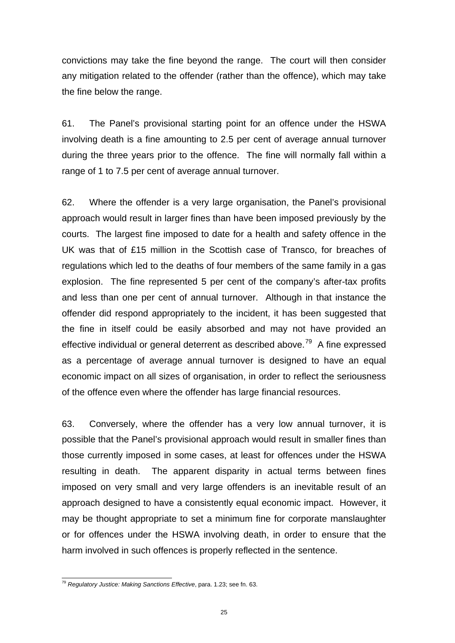convictions may take the fine beyond the range. The court will then consider any mitigation related to the offender (rather than the offence), which may take the fine below the range.

61. The Panel's provisional starting point for an offence under the HSWA involving death is a fine amounting to 2.5 per cent of average annual turnover during the three years prior to the offence. The fine will normally fall within a range of 1 to 7.5 per cent of average annual turnover.

62. Where the offender is a very large organisation, the Panel's provisional approach would result in larger fines than have been imposed previously by the courts. The largest fine imposed to date for a health and safety offence in the UK was that of £15 million in the Scottish case of Transco, for breaches of regulations which led to the deaths of four members of the same family in a gas explosion. The fine represented 5 per cent of the company's after-tax profits and less than one per cent of annual turnover. Although in that instance the offender did respond appropriately to the incident, it has been suggested that the fine in itself could be easily absorbed and may not have provided an effective individual or general deterrent as described above.<sup>[79](#page-26-0)</sup> A fine expressed as a percentage of average annual turnover is designed to have an equal economic impact on all sizes of organisation, in order to reflect the seriousness of the offence even where the offender has large financial resources.

63. Conversely, where the offender has a very low annual turnover, it is possible that the Panel's provisional approach would result in smaller fines than those currently imposed in some cases, at least for offences under the HSWA resulting in death. The apparent disparity in actual terms between fines imposed on very small and very large offenders is an inevitable result of an approach designed to have a consistently equal economic impact. However, it may be thought appropriate to set a minimum fine for corporate manslaughter or for offences under the HSWA involving death, in order to ensure that the harm involved in such offences is properly reflected in the sentence.

<span id="page-26-0"></span> <sup>79</sup> *Regulatory Justice: Making Sanctions Effective*, para. 1.23; see fn. 63.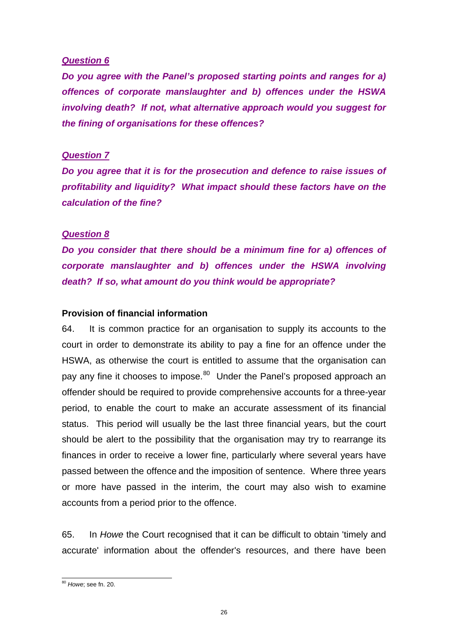### *Question 6*

*Do you agree with the Panel's proposed starting points and ranges for a) offences of corporate manslaughter and b) offences under the HSWA involving death? If not, what alternative approach would you suggest for the fining of organisations for these offences?* 

### *Question 7*

*Do you agree that it is for the prosecution and defence to raise issues of profitability and liquidity? What impact should these factors have on the calculation of the fine?* 

# *Question 8*

*Do you consider that there should be a minimum fine for a) offences of corporate manslaughter and b) offences under the HSWA involving death? If so, what amount do you think would be appropriate?* 

### **Provision of financial information**

64. It is common practice for an organisation to supply its accounts to the court in order to demonstrate its ability to pay a fine for an offence under the HSWA, as otherwise the court is entitled to assume that the organisation can pay any fine it chooses to impose.<sup>[80](#page-27-0)</sup> Under the Panel's proposed approach an offender should be required to provide comprehensive accounts for a three-year period, to enable the court to make an accurate assessment of its financial status. This period will usually be the last three financial years, but the court should be alert to the possibility that the organisation may try to rearrange its finances in order to receive a lower fine, particularly where several years have passed between the offence and the imposition of sentence. Where three years or more have passed in the interim, the court may also wish to examine accounts from a period prior to the offence.

65. In *Howe* the Court recognised that it can be difficult to obtain 'timely and accurate' information about the offender's resources, and there have been

<span id="page-27-0"></span> <sup>80</sup> *Howe*; see fn. 20.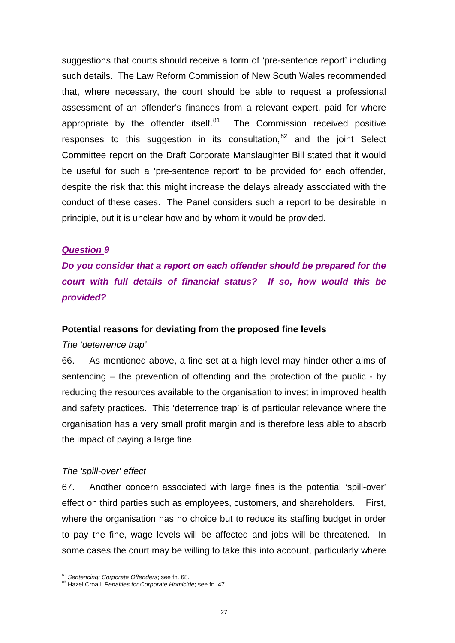suggestions that courts should receive a form of 'pre-sentence report' including such details. The Law Reform Commission of New South Wales recommended that, where necessary, the court should be able to request a professional assessment of an offender's finances from a relevant expert, paid for where appropriate by the offender itself. $81$  The Commission received positive responses to this suggestion in its consultation, $^{82}$  $^{82}$  $^{82}$  and the joint Select Committee report on the Draft Corporate Manslaughter Bill stated that it would be useful for such a 'pre-sentence report' to be provided for each offender, despite the risk that this might increase the delays already associated with the conduct of these cases. The Panel considers such a report to be desirable in principle, but it is unclear how and by whom it would be provided.

#### *Question 9*

*Do you consider that a report on each offender should be prepared for the court with full details of financial status? If so, how would this be provided?* 

#### **Potential reasons for deviating from the proposed fine levels**

#### *The 'deterrence trap'*

66. As mentioned above, a fine set at a high level may hinder other aims of sentencing – the prevention of offending and the protection of the public - by reducing the resources available to the organisation to invest in improved health and safety practices. This 'deterrence trap' is of particular relevance where the organisation has a very small profit margin and is therefore less able to absorb the impact of paying a large fine.

#### *The 'spill-over' effect*

67. Another concern associated with large fines is the potential 'spill-over' effect on third parties such as employees, customers, and shareholders. First, where the organisation has no choice but to reduce its staffing budget in order to pay the fine, wage levels will be affected and jobs will be threatened. In some cases the court may be willing to take this into account, particularly where

<span id="page-28-0"></span><sup>81</sup> Sentencing: Corporate Offenders; see fn. 68.

<span id="page-28-1"></span><sup>81</sup> *Sentencing: Corporate Offenders*; see fn. 68. 82 Hazel Croall, *Penalties for Corporate Homicide*; see fn. 47.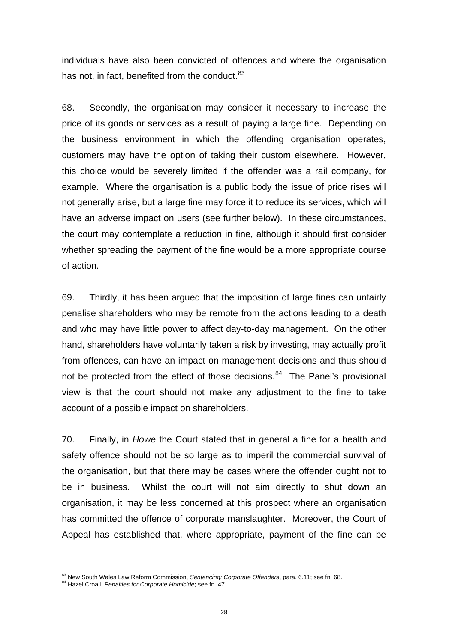individuals have also been convicted of offences and where the organisation has not, in fact, benefited from the conduct.<sup>[83](#page-29-0)</sup>

68. Secondly, the organisation may consider it necessary to increase the price of its goods or services as a result of paying a large fine. Depending on the business environment in which the offending organisation operates, customers may have the option of taking their custom elsewhere. However, this choice would be severely limited if the offender was a rail company, for example. Where the organisation is a public body the issue of price rises will not generally arise, but a large fine may force it to reduce its services, which will have an adverse impact on users (see further below). In these circumstances, the court may contemplate a reduction in fine, although it should first consider whether spreading the payment of the fine would be a more appropriate course of action.

69. Thirdly, it has been argued that the imposition of large fines can unfairly penalise shareholders who may be remote from the actions leading to a death and who may have little power to affect day-to-day management. On the other hand, shareholders have voluntarily taken a risk by investing, may actually profit from offences, can have an impact on management decisions and thus should not be protected from the effect of those decisions. $84$  The Panel's provisional view is that the court should not make any adjustment to the fine to take account of a possible impact on shareholders.

70. Finally, in *Howe* the Court stated that in general a fine for a health and safety offence should not be so large as to imperil the commercial survival of the organisation, but that there may be cases where the offender ought not to be in business. Whilst the court will not aim directly to shut down an organisation, it may be less concerned at this prospect where an organisation has committed the offence of corporate manslaughter. Moreover, the Court of Appeal has established that, where appropriate, payment of the fine can be

<span id="page-29-0"></span> 83 New South Wales Law Reform Commission, *Sentencing: Corporate Offenders*, para. 6.11; see fn. 68. 84 Hazel Croall, *Penalties for Corporate Homicide*; see fn. 47.

<span id="page-29-1"></span>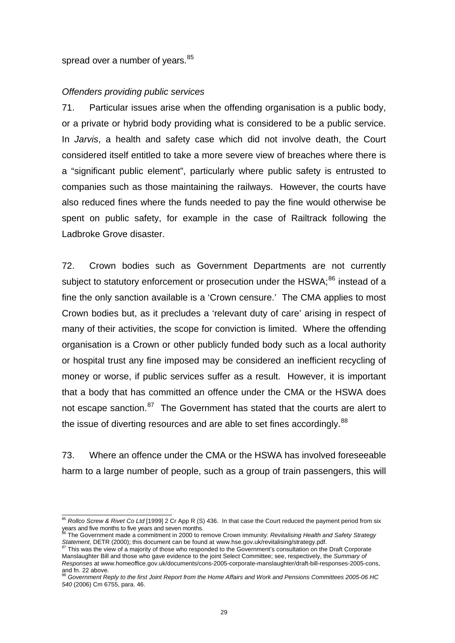spread over a number of vears.<sup>[85](#page-30-0)</sup>

# *Offenders providing public services*

71. Particular issues arise when the offending organisation is a public body, or a private or hybrid body providing what is considered to be a public service. In *Jarvis*, a health and safety case which did not involve death, the Court considered itself entitled to take a more severe view of breaches where there is a "significant public element", particularly where public safety is entrusted to companies such as those maintaining the railways. However, the courts have also reduced fines where the funds needed to pay the fine would otherwise be spent on public safety, for example in the case of Railtrack following the Ladbroke Grove disaster.

72. Crown bodies such as Government Departments are not currently subject to statutory enforcement or prosecution under the HSWA:<sup>[86](#page-30-1)</sup> instead of a fine the only sanction available is a 'Crown censure.' The CMA applies to most Crown bodies but, as it precludes a 'relevant duty of care' arising in respect of many of their activities, the scope for conviction is limited. Where the offending organisation is a Crown or other publicly funded body such as a local authority or hospital trust any fine imposed may be considered an inefficient recycling of money or worse, if public services suffer as a result. However, it is important that a body that has committed an offence under the CMA or the HSWA does not escape sanction.<sup>[87](#page-30-2)</sup> The Government has stated that the courts are alert to the issue of diverting resources and are able to set fines accordingly.<sup>[88](#page-30-3)</sup>

73. Where an offence under the CMA or the HSWA has involved foreseeable harm to a large number of people, such as a group of train passengers, this will

<span id="page-30-0"></span> <sup>85</sup> *[Rollco Screw & Rivet Co Ltd](http://www.bailii.org/ew/cases/EWCA/Crim/1999/871.html)* [1999] 2 Cr App R (S) 436. In that case the Court reduced the payment period from six years and five months to five years and seven months. 86 The Government made a commitment in 2000 to remove Crown immunity: *Revitalising Health and Safety Strategy* 

<span id="page-30-1"></span>Statement, DETR (2000); this document can be found at www.hse.gov.uk/revitalising/strategy.pdf.<br><sup>87</sup> This was the view of a majority of those who responded to the Government's consultation on the Draft Corporate

<span id="page-30-2"></span>Manslaughter Bill and those who gave evidence to the joint Select Committee; see, respectively, the *Summary of Responses* at [www.homeoffice.gov.uk/documents/cons-2005-corporate-manslaughter/draft-bill-responses-2005-cons](http://www.homeoffice.gov.uk/documents/cons-2005-corporate-manslaughter/draft-bill-responses-2005-cons), and fn. 22 above.

<span id="page-30-3"></span><sup>88</sup> Government Reply to the first Joint Report from the Home Affairs and Work and Pensions Committees 2005-06 HC *540* (2006) Cm 6755, para. 46.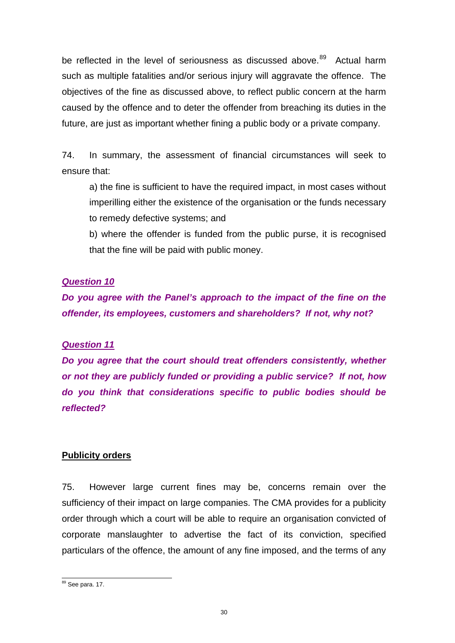be reflected in the level of seriousness as discussed above.<sup>[89](#page-31-0)</sup> Actual harm such as multiple fatalities and/or serious injury will aggravate the offence. The objectives of the fine as discussed above, to reflect public concern at the harm caused by the offence and to deter the offender from breaching its duties in the future, are just as important whether fining a public body or a private company.

74. In summary, the assessment of financial circumstances will seek to ensure that:

 a) the fine is sufficient to have the required impact, in most cases without imperilling either the existence of the organisation or the funds necessary to remedy defective systems; and

 b) where the offender is funded from the public purse, it is recognised that the fine will be paid with public money.

# *Question 10*

*Do you agree with the Panel's approach to the impact of the fine on the offender, its employees, customers and shareholders? If not, why not?*

# *Question 11*

*Do you agree that the court should treat offenders consistently, whether or not they are publicly funded or providing a public service? If not, how do you think that considerations specific to public bodies should be reflected?*

# **Publicity orders**

75. However large current fines may be, concerns remain over the sufficiency of their impact on large companies. The CMA provides for a publicity order through which a court will be able to require an organisation convicted of corporate manslaughter to advertise the fact of its conviction, specified particulars of the offence, the amount of any fine imposed, and the terms of any

<span id="page-31-0"></span> $\frac{1}{89}$  See para. 17.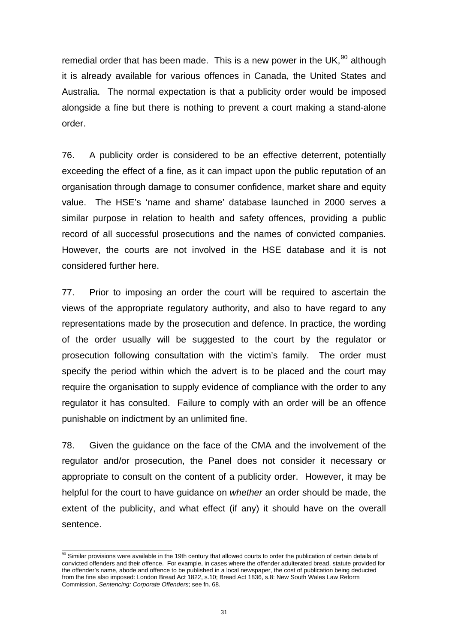remedial order that has been made. This is a new power in the UK. $90$  although it is already available for various offences in Canada, the United States and Australia. The normal expectation is that a publicity order would be imposed alongside a fine but there is nothing to prevent a court making a stand-alone order.

76. A publicity order is considered to be an effective deterrent, potentially exceeding the effect of a fine, as it can impact upon the public reputation of an organisation through damage to consumer confidence, market share and equity value. The HSE's 'name and shame' database launched in 2000 serves a similar purpose in relation to health and safety offences, providing a public record of all successful prosecutions and the names of convicted companies. However, the courts are not involved in the HSE database and it is not considered further here.

77. Prior to imposing an order the court will be required to ascertain the views of the appropriate regulatory authority, and also to have regard to any representations made by the prosecution and defence. In practice, the wording of the order usually will be suggested to the court by the regulator or prosecution following consultation with the victim's family. The order must specify the period within which the advert is to be placed and the court may require the organisation to supply evidence of compliance with the order to any regulator it has consulted. Failure to comply with an order will be an offence punishable on indictment by an unlimited fine.

78. Given the guidance on the face of the CMA and the involvement of the regulator and/or prosecution, the Panel does not consider it necessary or appropriate to consult on the content of a publicity order. However, it may be helpful for the court to have guidance on *whether* an order should be made, the extent of the publicity, and what effect (if any) it should have on the overall sentence.

<span id="page-32-0"></span>**EXECTS**<br><sup>90</sup> Similar provisions were available in the 19th century that allowed courts to order the publication of certain details of convicted offenders and their offence. For example, in cases where the offender adulterated bread, statute provided for the offender's name, abode and offence to be published in a local newspaper, the cost of publication being deducted from the fine also imposed: London Bread Act 1822, s.10; Bread Act 1836, s.8: New South Wales Law Reform Commission, *Sentencing: Corporate Offenders*; see fn. 68.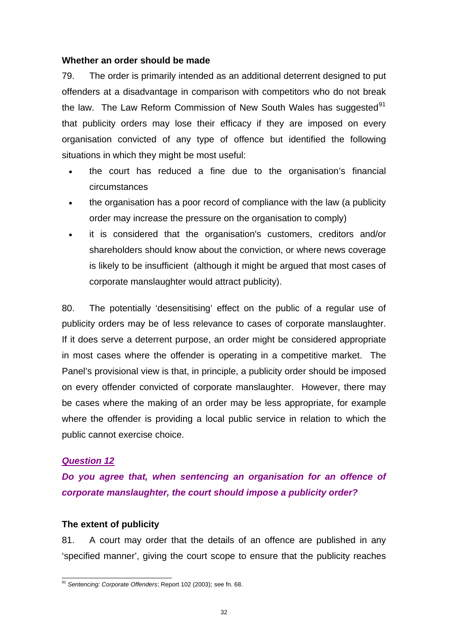### **Whether an order should be made**

79. The order is primarily intended as an additional deterrent designed to put offenders at a disadvantage in comparison with competitors who do not break the law. The Law Reform Commission of New South Wales has suggested<sup>[91](#page-33-0)</sup> that publicity orders may lose their efficacy if they are imposed on every organisation convicted of any type of offence but identified the following situations in which they might be most useful:

- the court has reduced a fine due to the organisation's financial circumstances
- the organisation has a poor record of compliance with the law (a publicity order may increase the pressure on the organisation to comply)
- it is considered that the organisation's customers, creditors and/or shareholders should know about the conviction, or where news coverage is likely to be insufficient (although it might be argued that most cases of corporate manslaughter would attract publicity).

80. The potentially 'desensitising' effect on the public of a regular use of publicity orders may be of less relevance to cases of corporate manslaughter. If it does serve a deterrent purpose, an order might be considered appropriate in most cases where the offender is operating in a competitive market. The Panel's provisional view is that, in principle, a publicity order should be imposed on every offender convicted of corporate manslaughter. However, there may be cases where the making of an order may be less appropriate, for example where the offender is providing a local public service in relation to which the public cannot exercise choice.

# *Question 12*

*Do you agree that, when sentencing an organisation for an offence of corporate manslaughter, the court should impose a publicity order?* 

# **The extent of publicity**

81. A court may order that the details of an offence are published in any 'specified manner', giving the court scope to ensure that the publicity reaches

<span id="page-33-0"></span> <sup>91</sup> *Sentencing: Corporate Offenders*; Report 102 (2003); see fn. 68.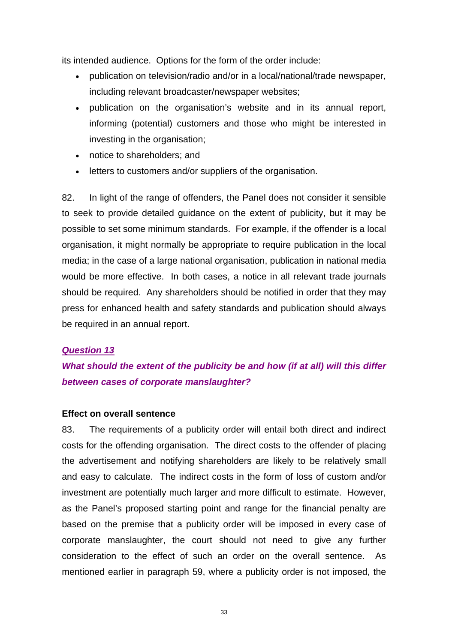its intended audience. Options for the form of the order include:

- publication on television/radio and/or in a local/national/trade newspaper, including relevant broadcaster/newspaper websites;
- publication on the organisation's website and in its annual report, informing (potential) customers and those who might be interested in investing in the organisation;
- notice to shareholders; and
- letters to customers and/or suppliers of the organisation.

82. In light of the range of offenders, the Panel does not consider it sensible to seek to provide detailed guidance on the extent of publicity, but it may be possible to set some minimum standards. For example, if the offender is a local organisation, it might normally be appropriate to require publication in the local media; in the case of a large national organisation, publication in national media would be more effective. In both cases, a notice in all relevant trade journals should be required. Any shareholders should be notified in order that they may press for enhanced health and safety standards and publication should always be required in an annual report.

# *Question 13*

*What should the extent of the publicity be and how (if at all) will this differ between cases of corporate manslaughter?* 

# **Effect on overall sentence**

83. The requirements of a publicity order will entail both direct and indirect costs for the offending organisation. The direct costs to the offender of placing the advertisement and notifying shareholders are likely to be relatively small and easy to calculate. The indirect costs in the form of loss of custom and/or investment are potentially much larger and more difficult to estimate. However, as the Panel's proposed starting point and range for the financial penalty are based on the premise that a publicity order will be imposed in every case of corporate manslaughter, the court should not need to give any further consideration to the effect of such an order on the overall sentence. As mentioned earlier in paragraph 59, where a publicity order is not imposed, the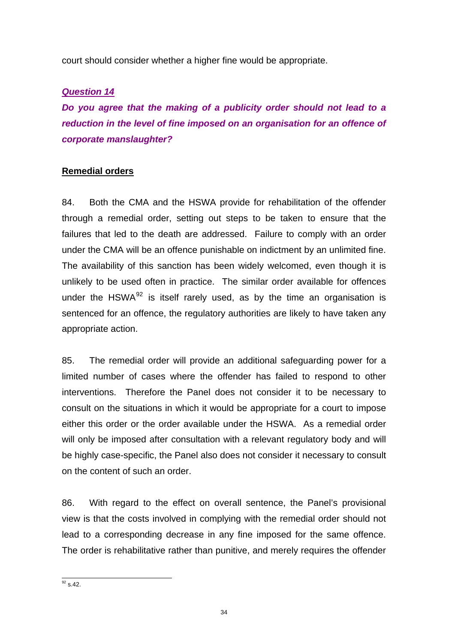court should consider whether a higher fine would be appropriate.

# *Question 14*

*Do you agree that the making of a publicity order should not lead to a reduction in the level of fine imposed on an organisation for an offence of corporate manslaughter?* 

# **Remedial orders**

84. Both the CMA and the HSWA provide for rehabilitation of the offender through a remedial order, setting out steps to be taken to ensure that the failures that led to the death are addressed. Failure to comply with an order under the CMA will be an offence punishable on indictment by an unlimited fine. The availability of this sanction has been widely welcomed, even though it is unlikely to be used often in practice. The similar order available for offences under the HSWA $92$  is itself rarely used, as by the time an organisation is sentenced for an offence, the regulatory authorities are likely to have taken any appropriate action.

85. The remedial order will provide an additional safeguarding power for a limited number of cases where the offender has failed to respond to other interventions. Therefore the Panel does not consider it to be necessary to consult on the situations in which it would be appropriate for a court to impose either this order or the order available under the HSWA. As a remedial order will only be imposed after consultation with a relevant regulatory body and will be highly case-specific, the Panel also does not consider it necessary to consult on the content of such an order.

86. With regard to the effect on overall sentence, the Panel's provisional view is that the costs involved in complying with the remedial order should not lead to a corresponding decrease in any fine imposed for the same offence. The order is rehabilitative rather than punitive, and merely requires the offender

<span id="page-35-0"></span> $\frac{92}{92}$  s.42.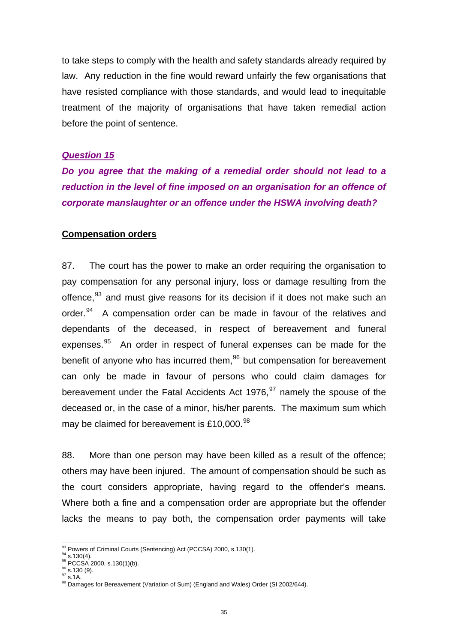to take steps to comply with the health and safety standards already required by law. Any reduction in the fine would reward unfairly the few organisations that have resisted compliance with those standards, and would lead to inequitable treatment of the majority of organisations that have taken remedial action before the point of sentence.

#### *Question 15*

*Do you agree that the making of a remedial order should not lead to a reduction in the level of fine imposed on an organisation for an offence of corporate manslaughter or an offence under the HSWA involving death?* 

#### **Compensation orders**

87. The court has the power to make an order requiring the organisation to pay compensation for any personal injury, loss or damage resulting from the offence.<sup>[93](#page-36-0)</sup> and must give reasons for its decision if it does not make such an order.<sup>[94](#page-36-1)</sup> A compensation order can be made in favour of the relatives and dependants of the deceased, in respect of bereavement and funeral expenses.<sup>[95](#page-36-2)</sup> An order in respect of funeral expenses can be made for the benefit of anyone who has incurred them,  $96$  but compensation for bereavement can only be made in favour of persons who could claim damages for bereavement under the Fatal Accidents Act 1[97](#page-36-4)6,  $97$  namely the spouse of the deceased or, in the case of a minor, his/her parents. The maximum sum which may be claimed for bereavement is £10,000. $98$ 

88. More than one person may have been killed as a result of the offence; others may have been injured. The amount of compensation should be such as the court considers appropriate, having regard to the offender's means. Where both a fine and a compensation order are appropriate but the offender lacks the means to pay both, the compensation order payments will take

<span id="page-36-5"></span><span id="page-36-4"></span><span id="page-36-3"></span><span id="page-36-2"></span>

<sup>&</sup>lt;sup>93</sup> Powers of Criminal Courts (Sentencing) Act (PCCSA) 2000, s.130(1).

<span id="page-36-1"></span><span id="page-36-0"></span><sup>94</sup> S.130(4).<br>
95 PCCSA 2000, s.130(1)(b).<br>
96 s.130 (9).<br>
97 s.1A.<br>
98 Damages for Bereavement (Variation of Sum) (England and Wales) Order (SI 2002/644).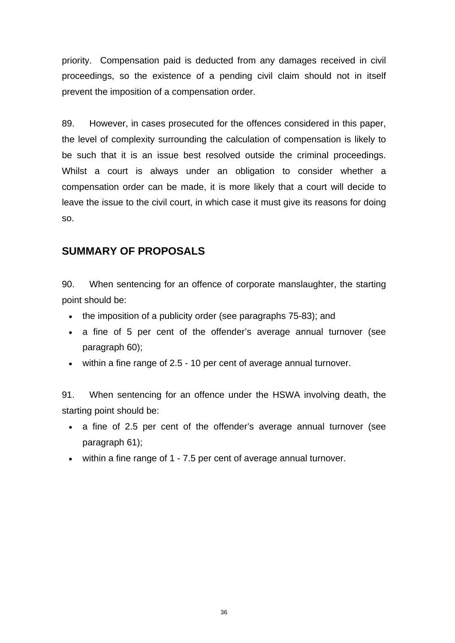priority. Compensation paid is deducted from any damages received in civil proceedings, so the existence of a pending civil claim should not in itself prevent the imposition of a compensation order.

89. However, in cases prosecuted for the offences considered in this paper, the level of complexity surrounding the calculation of compensation is likely to be such that it is an issue best resolved outside the criminal proceedings. Whilst a court is always under an obligation to consider whether a compensation order can be made, it is more likely that a court will decide to leave the issue to the civil court, in which case it must give its reasons for doing so.

# **SUMMARY OF PROPOSALS**

90. When sentencing for an offence of corporate manslaughter, the starting point should be:

- the imposition of a publicity order (see paragraphs 75-83); and
- a fine of 5 per cent of the offender's average annual turnover (see paragraph 60);
- within a fine range of 2.5 10 per cent of average annual turnover.

91. When sentencing for an offence under the HSWA involving death, the starting point should be:

- a fine of 2.5 per cent of the offender's average annual turnover (see paragraph 61);
- within a fine range of 1 7.5 per cent of average annual turnover.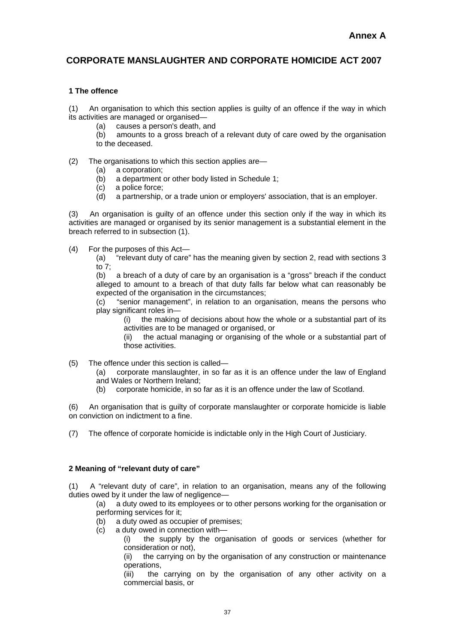# **CORPORATE MANSLAUGHTER AND CORPORATE HOMICIDE ACT 2007**

#### **1 The offence**

(1) An organisation to which this section applies is guilty of an offence if the way in which its activities are managed or organised—

(a) causes a person's death, and

(b) amounts to a gross breach of a relevant duty of care owed by the organisation to the deceased.

#### (2) The organisations to which this section applies are—

- (a) a corporation;
- (b) a department or other body listed in Schedule 1;
- (c) a police force;
- (d) a partnership, or a trade union or employers' association, that is an employer.

(3) An organisation is guilty of an offence under this section only if the way in which its activities are managed or organised by its senior management is a substantial element in the breach referred to in subsection (1).

(4) For the purposes of this Act—

(a) "relevant duty of care" has the meaning given by section 2, read with sections 3 to 7;

(b) a breach of a duty of care by an organisation is a "gross" breach if the conduct alleged to amount to a breach of that duty falls far below what can reasonably be expected of the organisation in the circumstances;

(c) "senior management", in relation to an organisation, means the persons who play significant roles in—

(i) the making of decisions about how the whole or a substantial part of its activities are to be managed or organised, or

(ii) the actual managing or organising of the whole or a substantial part of those activities.

(5) The offence under this section is called—

(a) corporate manslaughter, in so far as it is an offence under the law of England and Wales or Northern Ireland;

(b) corporate homicide, in so far as it is an offence under the law of Scotland.

(6) An organisation that is guilty of corporate manslaughter or corporate homicide is liable on conviction on indictment to a fine.

(7) The offence of corporate homicide is indictable only in the High Court of Justiciary.

#### **2 Meaning of "relevant duty of care"**

(1) A "relevant duty of care", in relation to an organisation, means any of the following duties owed by it under the law of negligence—

(a) a duty owed to its employees or to other persons working for the organisation or performing services for it;

(b) a duty owed as occupier of premises;

(c) a duty owed in connection with—

(i) the supply by the organisation of goods or services (whether for consideration or not),

(ii) the carrying on by the organisation of any construction or maintenance operations,

(iii) the carrying on by the organisation of any other activity on a commercial basis, or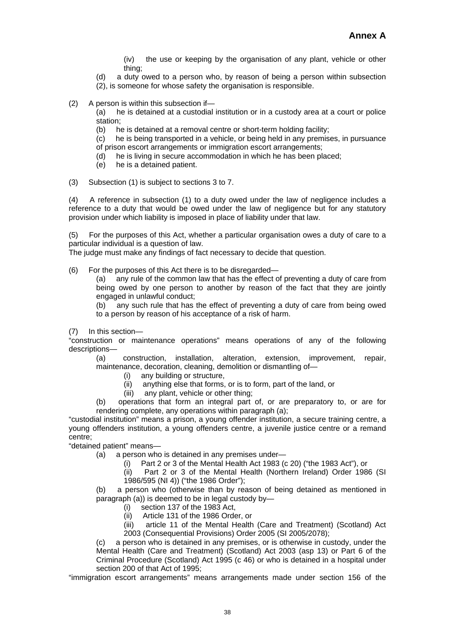(iv) the use or keeping by the organisation of any plant, vehicle or other thing;

(d) a duty owed to a person who, by reason of being a person within subsection (2), is someone for whose safety the organisation is responsible.

(2) A person is within this subsection if—

(a) he is detained at a custodial institution or in a custody area at a court or police station;

(b) he is detained at a removal centre or short-term holding facility;

(c) he is being transported in a vehicle, or being held in any premises, in pursuance of prison escort arrangements or immigration escort arrangements;

(d) he is living in secure accommodation in which he has been placed;

- (e) he is a detained patient.
- (3) Subsection (1) is subject to sections 3 to 7.

(4) A reference in subsection (1) to a duty owed under the law of negligence includes a reference to a duty that would be owed under the law of negligence but for any statutory provision under which liability is imposed in place of liability under that law.

(5) For the purposes of this Act, whether a particular organisation owes a duty of care to a particular individual is a question of law.

The judge must make any findings of fact necessary to decide that question.

(6) For the purposes of this Act there is to be disregarded—

(a) any rule of the common law that has the effect of preventing a duty of care from being owed by one person to another by reason of the fact that they are jointly engaged in unlawful conduct;

(b) any such rule that has the effect of preventing a duty of care from being owed to a person by reason of his acceptance of a risk of harm.

(7) In this section—

"construction or maintenance operations" means operations of any of the following descriptions—

(a) construction, installation, alteration, extension, improvement, repair, maintenance, decoration, cleaning, demolition or dismantling of—

- (i) any building or structure,
- (ii) anything else that forms, or is to form, part of the land, or
- (iii) any plant, vehicle or other thing;

(b) operations that form an integral part of, or are preparatory to, or are for rendering complete, any operations within paragraph (a);

"custodial institution" means a prison, a young offender institution, a secure training centre, a young offenders institution, a young offenders centre, a juvenile justice centre or a remand centre;

"detained patient" means—

(a) a person who is detained in any premises under—

(i) [Part 2](http://www.lexisnexis.com/uk/legal/search/runRemoteLink.do?service=citation&langcountry=GB&risb=21_T1853555904&A=0.09193372791624299&linkInfo=GB%23UK_ACTS%23num%251983_20a%25part%252%25&bct=A) or [3](http://www.lexisnexis.com/uk/legal/search/runRemoteLink.do?service=citation&langcountry=GB&risb=21_T1853555904&A=0.24686436914098475&linkInfo=GB%23UK_ACTS%23num%251983_20a%25part%253%25&bct=A) of the Mental Health Act 1983 (c 20) ("the 1983 Act"), or

(ii) Part 2 or 3 of the Mental Health (Northern Ireland) Order 1986 ([SI](http://www.lexisnexis.com/uk/legal/search/runRemoteLink.do?service=citation&langcountry=GB&risb=21_T1853555904&A=0.8916932580086351&linkInfo=GB%23UK_SI%23num%251986_595s_Title%25&bct=A)  [1986/595](http://www.lexisnexis.com/uk/legal/search/runRemoteLink.do?service=citation&langcountry=GB&risb=21_T1853555904&A=0.8916932580086351&linkInfo=GB%23UK_SI%23num%251986_595s_Title%25&bct=A) (NI 4)) ("the 1986 Order");

(b) a person who (otherwise than by reason of being detained as mentioned in paragraph (a)) is deemed to be in legal custody by—

- (i) section 137 of the 1983 Act,
- (ii) Article 131 of the 1986 Order, or

(iii) article 11 of the [Mental Health \(Care and Treatment\) \(Scotland\) Act](http://www.lexisnexis.com/uk/legal/search/runRemoteLink.do?service=citation&langcountry=GB&risb=21_T1853555904&A=0.14357154664877392&linkInfo=GB%23SC_ACTS%23num%25s2003_13a_Title%25&bct=A)  [2003](http://www.lexisnexis.com/uk/legal/search/runRemoteLink.do?service=citation&langcountry=GB&risb=21_T1853555904&A=0.14357154664877392&linkInfo=GB%23SC_ACTS%23num%25s2003_13a_Title%25&bct=A) (Consequential Provisions) Order 2005 ([SI 2005/2078\)](http://www.lexisnexis.com/uk/legal/search/runRemoteLink.do?service=citation&langcountry=GB&risb=21_T1853555904&A=0.6004381742967838&linkInfo=GB%23UK_SI%23num%252005_2078s_Title%25&bct=A);

(c) a person who is detained in any premises, or is otherwise in custody, under the [Mental Health \(Care and Treatment\) \(Scotland\) Act 2003 \(asp 13\) o](http://www.lexisnexis.com/uk/legal/search/runRemoteLink.do?service=citation&langcountry=GB&risb=21_T1853555904&A=0.45087209400817463&linkInfo=GB%23SC_ACTS%23num%25s2003_13a_Title%25&bct=A)r [Part 6](http://www.lexisnexis.com/uk/legal/search/runRemoteLink.do?service=citation&langcountry=GB&risb=21_T1853555904&A=0.9634057506894167&linkInfo=GB%23UK_ACTS%23num%251995_46a%25part%256%25&bct=A) of the Criminal Procedure (Scotland) Act 1995 (c 46) or who is detained in a hospital under section 200 of that Act of 1995;

"immigration escort arrangements" means arrangements made under [section 156](http://www.lexisnexis.com/uk/legal/search/runRemoteLink.do?service=citation&langcountry=GB&risb=21_T1853555904&A=0.20038624944930306&linkInfo=GB%23UK_ACTS%23num%251999_33a%25section%25156%25sect%25156%25&bct=A) of the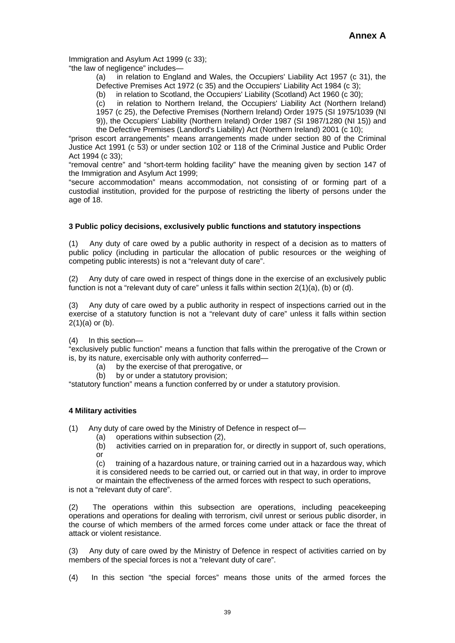Immigration and Asylum Act 1999 (c 33); "the law of negligence" includes—

> (a) in relation to England and Wales, the [Occupiers' Liability Act 1957 \(c 31\),](http://www.lexisnexis.com/uk/legal/search/runRemoteLink.do?service=citation&langcountry=GB&risb=21_T1853555904&A=0.7488292610190485&linkInfo=GB%23UK_ACTS%23num%251957_31a_Title%25&bct=A) the [Defective Premises Act 1972 \(c 35\)](http://www.lexisnexis.com/uk/legal/search/runRemoteLink.do?service=citation&langcountry=GB&risb=21_T1853555904&A=0.18939701873448833&linkInfo=GB%23UK_ACTS%23num%251972_35a_Title%25&bct=A) and the [Occupiers' Liability Act 1984 \(c 3\);](http://www.lexisnexis.com/uk/legal/search/runRemoteLink.do?service=citation&langcountry=GB&risb=21_T1853555904&A=0.9427838117840803&linkInfo=GB%23UK_ACTS%23num%251984_3a_Title%25&bct=A)

(b) in relation to Scotland, the Occupiers' Liability (Scotland) Act 1960 (c 30);

(c) in relation to Northern Ireland, the Occupiers' Liability Act (Northern Ireland)

1957 (c 25), the Defective Premises (Northern Ireland) Order 1975 [\(SI 1975/1039](http://www.lexisnexis.com/uk/legal/search/runRemoteLink.do?service=citation&langcountry=GB&risb=21_T1853555904&A=0.7273894795643319&linkInfo=GB%23UK_SI%23num%251975_1039s_Title%25&bct=A) (NI 9)), the Occupiers' Liability (Northern Ireland) Order 1987 [\(SI 1987/1280](http://www.lexisnexis.com/uk/legal/search/runRemoteLink.do?service=citation&langcountry=GB&risb=21_T1853555904&A=0.9304777387259638&linkInfo=GB%23UK_SI%23num%251987_1280s_Title%25&bct=A) (NI 15)) and

the Defective Premises (Landlord's Liability) Act (Northern Ireland) 2001 (c 10);

"prison escort arrangements" means arrangements made under [section 80](http://www.lexisnexis.com/uk/legal/search/runRemoteLink.do?service=citation&langcountry=GB&risb=21_T1853555904&A=0.4789189508871057&linkInfo=GB%23UK_ACTS%23num%251991_53a%25section%2580%25sect%2580%25&bct=A) of the Criminal Justice Act 1991 (c 53) or under [section 102](http://www.lexisnexis.com/uk/legal/search/runRemoteLink.do?service=citation&langcountry=GB&risb=21_T1853555904&A=0.3632077824410108&linkInfo=GB%23UK_ACTS%23num%251994_33a%25section%25102%25sect%25102%25&bct=A) or [118](http://www.lexisnexis.com/uk/legal/search/runRemoteLink.do?service=citation&langcountry=GB&risb=21_T1853555904&A=0.31887096410034343&linkInfo=GB%23UK_ACTS%23num%251994_33a%25section%25118%25sect%25118%25&bct=A) of the Criminal Justice and Public Order Act 1994 (c 33):

"removal centre" and "short-term holding facility" have the meaning given by [section 147](http://www.lexisnexis.com/uk/legal/search/runRemoteLink.do?service=citation&langcountry=GB&risb=21_T1853555904&A=0.5177893451116076&linkInfo=GB%23UK_ACTS%23num%251999_33a%25section%25147%25sect%25147%25&bct=A) of the Immigration and Asylum Act 1999;

"secure accommodation" means accommodation, not consisting of or forming part of a custodial institution, provided for the purpose of restricting the liberty of persons under the age of 18.

#### **3 Public policy decisions, exclusively public functions and statutory inspections**

(1) Any duty of care owed by a public authority in respect of a decision as to matters of public policy (including in particular the allocation of public resources or the weighing of competing public interests) is not a "relevant duty of care".

(2) Any duty of care owed in respect of things done in the exercise of an exclusively public function is not a "relevant duty of care" unless it falls within section 2(1)(a), (b) or (d).

(3) Any duty of care owed by a public authority in respect of inspections carried out in the exercise of a statutory function is not a "relevant duty of care" unless it falls within section 2(1)(a) or (b).

(4) In this section—

"exclusively public function" means a function that falls within the prerogative of the Crown or is, by its nature, exercisable only with authority conferred—

- (a) by the exercise of that prerogative, or
- (b) by or under a statutory provision:

"statutory function" means a function conferred by or under a statutory provision.

#### **4 Military activities**

(1) Any duty of care owed by the Ministry of Defence in respect of—

(a) operations within subsection (2),

(b) activities carried on in preparation for, or directly in support of, such operations, or

(c) training of a hazardous nature, or training carried out in a hazardous way, which it is considered needs to be carried out, or carried out in that way, in order to improve or maintain the effectiveness of the armed forces with respect to such operations,

is not a "relevant duty of care".

(2) The operations within this subsection are operations, including peacekeeping operations and operations for dealing with terrorism, civil unrest or serious public disorder, in the course of which members of the armed forces come under attack or face the threat of attack or violent resistance.

(3) Any duty of care owed by the Ministry of Defence in respect of activities carried on by members of the special forces is not a "relevant duty of care".

(4) In this section "the special forces" means those units of the armed forces the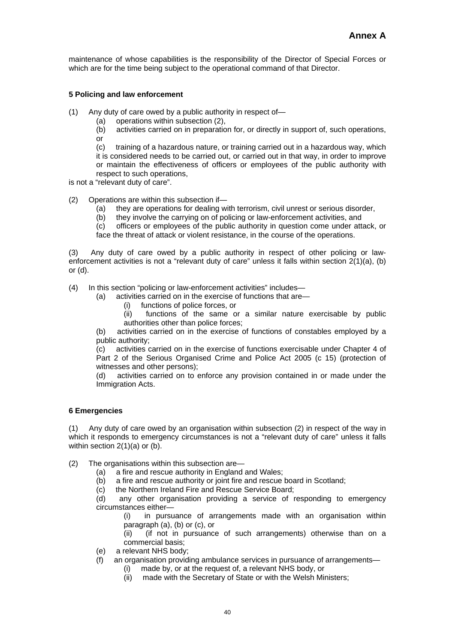maintenance of whose capabilities is the responsibility of the Director of Special Forces or which are for the time being subject to the operational command of that Director.

#### **5 Policing and law enforcement**

(1) Any duty of care owed by a public authority in respect of—

(a) operations within subsection (2),

(b) activities carried on in preparation for, or directly in support of, such operations, or

(c) training of a hazardous nature, or training carried out in a hazardous way, which it is considered needs to be carried out, or carried out in that way, in order to improve or maintain the effectiveness of officers or employees of the public authority with respect to such operations,

is not a "relevant duty of care".

- (2) Operations are within this subsection if—
	- (a) they are operations for dealing with terrorism, civil unrest or serious disorder,<br>(b) they involve the carrying on of policing or law-enforcement activities, and
	- they involve the carrying on of policing or law-enforcement activities, and

(c) officers or employees of the public authority in question come under attack, or face the threat of attack or violent resistance, in the course of the operations.

(3) Any duty of care owed by a public authority in respect of other policing or lawenforcement activities is not a "relevant duty of care" unless it falls within section 2(1)(a), (b) or (d).

(4) In this section "policing or law-enforcement activities" includes—

- (a) activities carried on in the exercise of functions that are—
	- (i) functions of police forces, or

(ii) functions of the same or a similar nature exercisable by public authorities other than police forces;

(b) activities carried on in the exercise of functions of constables employed by a public authority;

(c) activities carried on in the exercise of functions exercisable under Chapter 4 of [Part 2](http://www.lexisnexis.com/uk/legal/search/runRemoteLink.do?service=citation&langcountry=GB&risb=21_T1853814520&A=0.07558022934152064&linkInfo=GB%23UK_ACTS%23num%252005_15a%25part%252%25&bct=A) of the Serious Organised Crime and Police Act 2005 (c 15) (protection of witnesses and other persons);

(d) activities carried on to enforce any provision contained in or made under the Immigration Acts.

#### **6 Emergencies**

(1) Any duty of care owed by an organisation within subsection (2) in respect of the way in which it responds to emergency circumstances is not a "relevant duty of care" unless it falls within section 2(1)(a) or (b).

(2) The organisations within this subsection are—<br>(a) a fire and rescue authority in England

- (a)  $\vec{a}$  a fire and rescue authority in England and Wales;<br>(b) a fire and rescue authority or ioint fire and rescue
- a fire and rescue authority or joint fire and rescue board in Scotland:
- (c) the Northern Ireland Fire and Rescue Service Board;

(d) any other organisation providing a service of responding to emergency circumstances either—

(i) in pursuance of arrangements made with an organisation within paragraph (a), (b) or (c), or

(ii) (if not in pursuance of such arrangements) otherwise than on a commercial basis;

- (e) a relevant NHS body;
- (f) an organisation providing ambulance services in pursuance of arrangements—
	- (i) made by, or at the request of, a relevant NHS body, or
		- (ii) made with the Secretary of State or with the Welsh Ministers;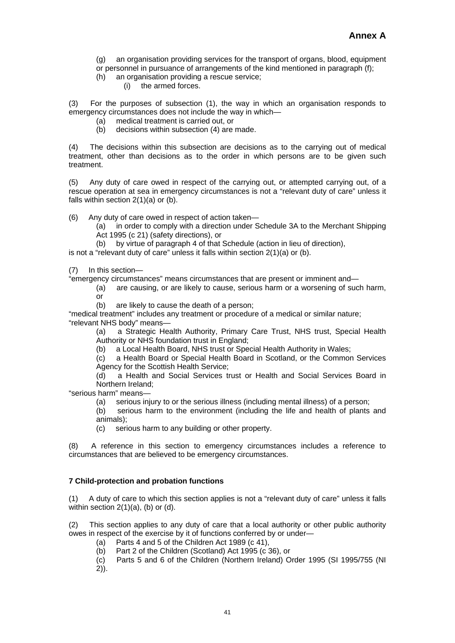(g) an organisation providing services for the transport of organs, blood, equipment or personnel in pursuance of arrangements of the kind mentioned in paragraph (f);

(h) an organisation providing a rescue service;

(i) the armed forces.

(3) For the purposes of subsection (1), the way in which an organisation responds to emergency circumstances does not include the way in which—

- (a) medical treatment is carried out, or
- (b) decisions within subsection (4) are made.

(4) The decisions within this subsection are decisions as to the carrying out of medical treatment, other than decisions as to the order in which persons are to be given such treatment.

(5) Any duty of care owed in respect of the carrying out, or attempted carrying out, of a rescue operation at sea in emergency circumstances is not a "relevant duty of care" unless it falls within section 2(1)(a) or (b).

(6) Any duty of care owed in respect of action taken—

- (a) in order to comply with a direction under Schedule 3A to the [Merchant Shipping](http://www.lexisnexis.com/uk/legal/search/runRemoteLink.do?service=citation&langcountry=GB&risb=21_T1853826822&A=0.9698274677229494&linkInfo=GB%23UK_ACTS%23num%251995_21a_Title%25&bct=A)  [Act 1995 \(c 21\) \(](http://www.lexisnexis.com/uk/legal/search/runRemoteLink.do?service=citation&langcountry=GB&risb=21_T1853826822&A=0.9698274677229494&linkInfo=GB%23UK_ACTS%23num%251995_21a_Title%25&bct=A)safety directions), or
- (b) by virtue of paragraph 4 of that Schedule (action in lieu of direction),

is not a "relevant duty of care" unless it falls within section 2(1)(a) or (b).

(7) In this section—

"emergency circumstances" means circumstances that are present or imminent and—

(a) are causing, or are likely to cause, serious harm or a worsening of such harm, or

(b) are likely to cause the death of a person;

"medical treatment" includes any treatment or procedure of a medical or similar nature; "relevant NHS body" means—

(a) a Strategic Health Authority, Primary Care Trust, NHS trust, Special Health Authority or NHS foundation trust in England;

(b) a Local Health Board, NHS trust or Special Health Authority in Wales;

(c) a Health Board or Special Health Board in Scotland, or the Common Services Agency for the Scottish Health Service;

(d) a Health and Social Services trust or Health and Social Services Board in Northern Ireland;

"serious harm" means—

(a) serious injury to or the serious illness (including mental illness) of a person;

(b) serious harm to the environment (including the life and health of plants and animals);

(c) serious harm to any building or other property.

A reference in this section to emergency circumstances includes a reference to circumstances that are believed to be emergency circumstances.

#### **7 Child-protection and probation functions**

(1) A duty of care to which this section applies is not a "relevant duty of care" unless it falls within section  $2(1)(a)$ , (b) or (d).

(2) This section applies to any duty of care that a local authority or other public authority owes in respect of the exercise by it of functions conferred by or under—

- (a) Parts 4 and 5 of the [Children Act 1989 \(c 41\),](http://www.lexisnexis.com/uk/legal/search/runRemoteLink.do?service=citation&langcountry=GB&risb=21_T1853848596&A=0.44391568632415934&linkInfo=GB%23UK_ACTS%23num%251989_41a_Title%25&bct=A)
- (b) [Part 2](http://www.lexisnexis.com/uk/legal/search/runRemoteLink.do?service=citation&langcountry=GB&risb=21_T1853848596&A=0.1417122896823778&linkInfo=GB%23UK_ACTS%23num%251995_36a%25part%252%25&bct=A) of the Children (Scotland) Act 1995 (c 36), or
- (c) Parts 5 and 6 of the Children (Northern Ireland) Order 1995 ([SI 1995/755](http://www.lexisnexis.com/uk/legal/search/runRemoteLink.do?service=citation&langcountry=GB&risb=21_T1853848596&A=0.356823926294327&linkInfo=GB%23UK_SI%23num%251995_755s_Title%25&bct=A) (NI 2)).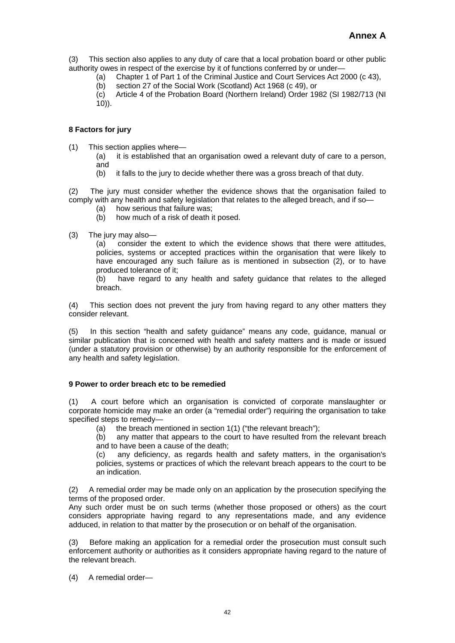(3) This section also applies to any duty of care that a local probation board or other public authority owes in respect of the exercise by it of functions conferred by or under—

- (a) Chapter 1 of [Part 1](http://www.lexisnexis.com/uk/legal/search/runRemoteLink.do?service=citation&langcountry=GB&risb=21_T1853848596&A=0.4757797237416941&linkInfo=GB%23UK_ACTS%23num%252000_43a%25part%251%25&bct=A) of the Criminal Justice and Court Services Act 2000 (c 43),
- (b) [section 27](http://www.lexisnexis.com/uk/legal/search/runRemoteLink.do?service=citation&langcountry=GB&risb=21_T1853848596&A=0.4869355576107428&linkInfo=GB%23UK_ACTS%23num%251968_49a%25section%2527%25sect%2527%25&bct=A) of the Social Work (Scotland) Act 1968 (c 49), or

(c) Article 4 of the Probation Board (Northern Ireland) Order 1982 ([SI 1982/713](http://www.lexisnexis.com/uk/legal/search/runRemoteLink.do?service=citation&langcountry=GB&risb=21_T1853848596&A=0.7010011807715528&linkInfo=GB%23UK_SI%23num%251982_713s_Title%25&bct=A) (NI 10)).

#### **8 Factors for jury**

- (1) This section applies where—
	- (a) it is established that an organisation owed a relevant duty of care to a person, and
	- (b) it falls to the jury to decide whether there was a gross breach of that duty.

(2) The jury must consider whether the evidence shows that the organisation failed to comply with any health and safety legislation that relates to the alleged breach, and if so-

- (a) how serious that failure was;
- (b) how much of a risk of death it posed.
- (3) The jury may also—

(a) consider the extent to which the evidence shows that there were attitudes, policies, systems or accepted practices within the organisation that were likely to have encouraged any such failure as is mentioned in subsection (2), or to have produced tolerance of it;

(b) have regard to any health and safety guidance that relates to the alleged breach.

(4) This section does not prevent the jury from having regard to any other matters they consider relevant.

(5) In this section "health and safety guidance" means any code, guidance, manual or similar publication that is concerned with health and safety matters and is made or issued (under a statutory provision or otherwise) by an authority responsible for the enforcement of any health and safety legislation.

#### **9 Power to order breach etc to be remedied**

(1) A court before which an organisation is convicted of corporate manslaughter or corporate homicide may make an order (a "remedial order") requiring the organisation to take specified steps to remedy—

(a) the breach mentioned in section  $1(1)$  ("the relevant breach");

(b) any matter that appears to the court to have resulted from the relevant breach and to have been a cause of the death;

(c) any deficiency, as regards health and safety matters, in the organisation's policies, systems or practices of which the relevant breach appears to the court to be an indication.

(2) A remedial order may be made only on an application by the prosecution specifying the terms of the proposed order.

Any such order must be on such terms (whether those proposed or others) as the court considers appropriate having regard to any representations made, and any evidence adduced, in relation to that matter by the prosecution or on behalf of the organisation.

(3) Before making an application for a remedial order the prosecution must consult such enforcement authority or authorities as it considers appropriate having regard to the nature of the relevant breach.

(4) A remedial order—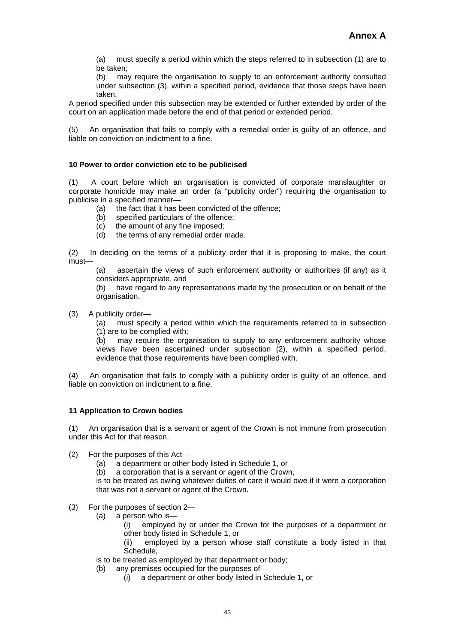(a) must specify a period within which the steps referred to in subsection (1) are to be taken;

(b) may require the organisation to supply to an enforcement authority consulted under subsection (3), within a specified period, evidence that those steps have been taken.

A period specified under this subsection may be extended or further extended by order of the court on an application made before the end of that period or extended period.

(5) An organisation that fails to comply with a remedial order is guilty of an offence, and liable on conviction on indictment to a fine.

#### **10 Power to order conviction etc to be publicised**

(1) A court before which an organisation is convicted of corporate manslaughter or corporate homicide may make an order (a "publicity order") requiring the organisation to publicise in a specified manner—

(a) the fact that it has been convicted of the offence;

- (b) specified particulars of the offence;
- (c) the amount of any fine imposed;
- (d) the terms of any remedial order made.

(2) In deciding on the terms of a publicity order that it is proposing to make, the court must—

(a) ascertain the views of such enforcement authority or authorities (if any) as it considers appropriate, and

(b) have regard to any representations made by the prosecution or on behalf of the organisation.

(3) A publicity order—

(a) must specify a period within which the requirements referred to in subsection (1) are to be complied with;

(b) may require the organisation to supply to any enforcement authority whose views have been ascertained under subsection (2), within a specified period, evidence that those requirements have been complied with.

(4) An organisation that fails to comply with a publicity order is guilty of an offence, and liable on conviction on indictment to a fine.

#### **11 Application to Crown bodies**

(1) An organisation that is a servant or agent of the Crown is not immune from prosecution under this Act for that reason.

(2) For the purposes of this Act—

(a) a department or other body listed in Schedule 1, or

(b) a corporation that is a servant or agent of the Crown,

is to be treated as owing whatever duties of care it would owe if it were a corporation that was not a servant or agent of the Crown.

- (3) For the purposes of section 2—
	- (a) a person who is—

(i) employed by or under the Crown for the purposes of a department or other body listed in Schedule 1, or

(ii) employed by a person whose staff constitute a body listed in that Schedule,

is to be treated as employed by that department or body;

- (b) any premises occupied for the purposes of—
	- (i) a department or other body listed in Schedule 1, or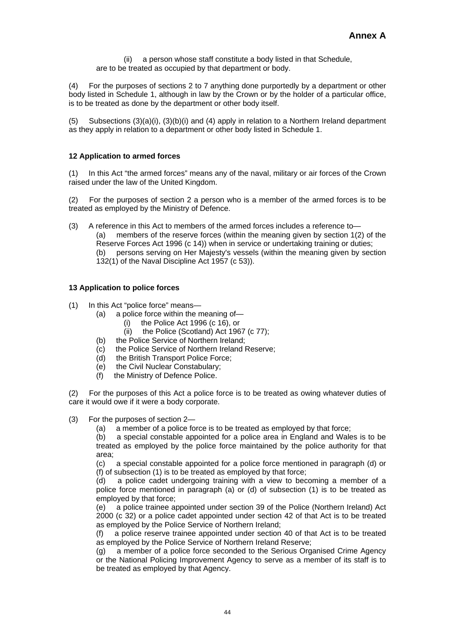(ii) a person whose staff constitute a body listed in that Schedule, are to be treated as occupied by that department or body.

For the purposes of sections 2 to 7 anything done purportedly by a department or other body listed in Schedule 1, although in law by the Crown or by the holder of a particular office, is to be treated as done by the department or other body itself.

(5) Subsections (3)(a)(i), (3)(b)(i) and (4) apply in relation to a Northern Ireland department as they apply in relation to a department or other body listed in Schedule 1.

#### **12 Application to armed forces**

(1) In this Act "the armed forces" means any of the naval, military or air forces of the Crown raised under the law of the United Kingdom.

(2) For the purposes of section 2 a person who is a member of the armed forces is to be treated as employed by the Ministry of Defence.

(3) A reference in this Act to members of the armed forces includes a reference to— (a) members of the reserve forces (within the meaning given by [section 1\(2\)](http://www.lexisnexis.com/uk/legal/search/runRemoteLink.do?service=citation&langcountry=GB&risb=21_T1853943689&A=0.22605345894648698&linkInfo=GB%23UK_ACTS%23num%251996_14a%25section%251%25sect%251%25&bct=A) of the Reserve Forces Act 1996 (c 14)) when in service or undertaking training or duties; (b) persons serving on Her Majesty's vessels (within the meaning given by [section](http://www.lexisnexis.com/uk/legal/search/runRemoteLink.do?service=citation&langcountry=GB&risb=21_T1853943689&A=0.2637937720883574&linkInfo=GB%23UK_ACTS%23num%251957_53a%25section%25132%25sect%25132%25&bct=A)  [132\(1\)](http://www.lexisnexis.com/uk/legal/search/runRemoteLink.do?service=citation&langcountry=GB&risb=21_T1853943689&A=0.2637937720883574&linkInfo=GB%23UK_ACTS%23num%251957_53a%25section%25132%25sect%25132%25&bct=A) of the Naval Discipline Act 1957 (c 53)).

#### **13 Application to police forces**

- (1) In this Act "police force" means—
	- (a) a police force within the meaning of—
		- $(i)$  the [Police Act 1996 \(c 16\), o](http://www.lexisnexis.com/uk/legal/search/runRemoteLink.do?service=citation&langcountry=GB&risb=21_T1853952030&A=0.8166516842582274&linkInfo=GB%23UK_ACTS%23num%251996_16a_Title%25&bct=A)r
		- (ii) the Police (Scotland) Act 1967 (c 77);
	- (b) the Police Service of Northern Ireland;
	- (c) the Police Service of Northern Ireland Reserve;
	- (d) the British Transport Police Force;
	- (e) the Civil Nuclear Constabulary;
	- (f) the Ministry of Defence Police.

(2) For the purposes of this Act a police force is to be treated as owing whatever duties of care it would owe if it were a body corporate.

- (3) For the purposes of section 2—
	- (a) a member of a police force is to be treated as employed by that force;

(b) a special constable appointed for a police area in England and Wales is to be treated as employed by the police force maintained by the police authority for that area;

(c) a special constable appointed for a police force mentioned in paragraph (d) or (f) of subsection (1) is to be treated as employed by that force;

(d) a police cadet undergoing training with a view to becoming a member of a police force mentioned in paragraph (a) or (d) of subsection (1) is to be treated as employed by that force;

(e) a police trainee appointed under [section 39](http://www.lexisnexis.com/uk/legal/search/runRemoteLink.do?service=citation&langcountry=GB&risb=21_T1853952030&A=0.6348439489618505&linkInfo=GB%23UK_ACTS%23num%252000_32a%25section%2539%25sect%2539%25&bct=A) of the Police (Northern Ireland) Act 2000 (c 32) or a police cadet appointed under section 42 of that Act is to be treated as employed by the Police Service of Northern Ireland;

(f) a police reserve trainee appointed under section 40 of that Act is to be treated as employed by the Police Service of Northern Ireland Reserve;

(g) a member of a police force seconded to the Serious Organised Crime Agency or the National Policing Improvement Agency to serve as a member of its staff is to be treated as employed by that Agency.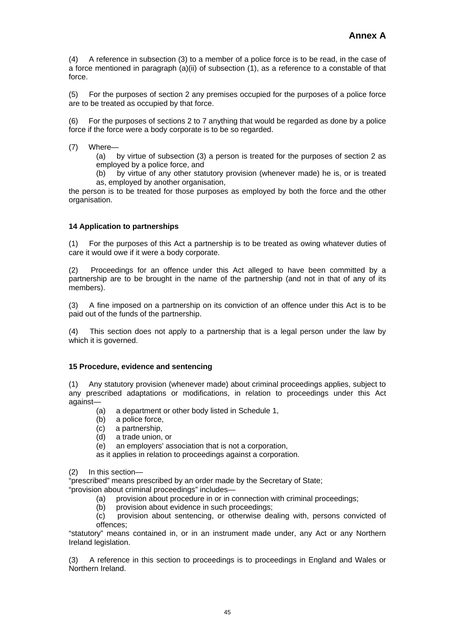(4) A reference in subsection (3) to a member of a police force is to be read, in the case of a force mentioned in paragraph (a)(ii) of subsection (1), as a reference to a constable of that force.

(5) For the purposes of section 2 any premises occupied for the purposes of a police force are to be treated as occupied by that force.

(6) For the purposes of sections 2 to 7 anything that would be regarded as done by a police force if the force were a body corporate is to be so regarded.

(7) Where—

(a) by virtue of subsection (3) a person is treated for the purposes of section 2 as employed by a police force, and

(b) by virtue of any other statutory provision (whenever made) he is, or is treated as, employed by another organisation,

the person is to be treated for those purposes as employed by both the force and the other organisation.

#### **14 Application to partnerships**

(1) For the purposes of this Act a partnership is to be treated as owing whatever duties of care it would owe if it were a body corporate.

(2) Proceedings for an offence under this Act alleged to have been committed by a partnership are to be brought in the name of the partnership (and not in that of any of its members).

(3) A fine imposed on a partnership on its conviction of an offence under this Act is to be paid out of the funds of the partnership.

(4) This section does not apply to a partnership that is a legal person under the law by which it is governed.

#### **15 Procedure, evidence and sentencing**

(1) Any statutory provision (whenever made) about criminal proceedings applies, subject to any prescribed adaptations or modifications, in relation to proceedings under this Act against—

- (a) a department or other body listed in Schedule 1,
- (b) a police force,
- (c) a partnership,
- (d) a trade union, or
- (e) an employers' association that is not a corporation,
- as it applies in relation to proceedings against a corporation.

(2) In this section—

"prescribed" means prescribed by an order made by the Secretary of State;

"provision about criminal proceedings" includes—

- (a) provision about procedure in or in connection with criminal proceedings;
- (b) provision about evidence in such proceedings;
- (c) provision about sentencing, or otherwise dealing with, persons convicted of offences;

"statutory" means contained in, or in an instrument made under, any Act or any Northern Ireland legislation.

(3) A reference in this section to proceedings is to proceedings in England and Wales or Northern Ireland.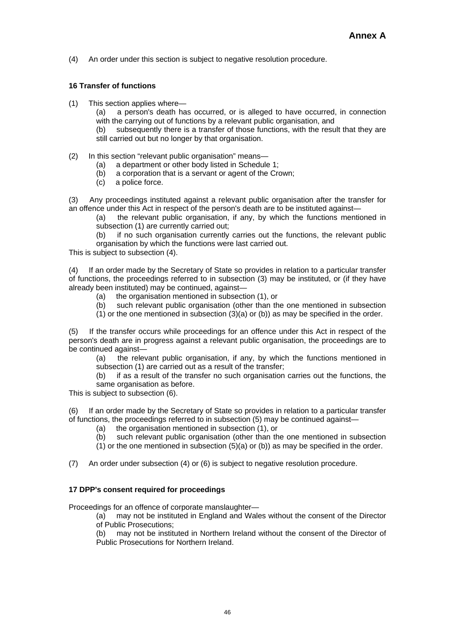(4) An order under this section is subject to negative resolution procedure.

#### **16 Transfer of functions**

(1) This section applies where—

(a) a person's death has occurred, or is alleged to have occurred, in connection with the carrying out of functions by a relevant public organisation, and

(b) subsequently there is a transfer of those functions, with the result that they are still carried out but no longer by that organisation.

#### (2) In this section "relevant public organisation" means—

- (a) a department or other body listed in Schedule 1;
- (b) a corporation that is a servant or agent of the Crown;
- (c) a police force.

(3) Any proceedings instituted against a relevant public organisation after the transfer for an offence under this Act in respect of the person's death are to be instituted against—

(a) the relevant public organisation, if any, by which the functions mentioned in subsection (1) are currently carried out;

(b) if no such organisation currently carries out the functions, the relevant public organisation by which the functions were last carried out.

This is subject to subsection (4).

(4) If an order made by the Secretary of State so provides in relation to a particular transfer of functions, the proceedings referred to in subsection (3) may be instituted, or (if they have already been instituted) may be continued, against—

- (a) the organisation mentioned in subsection (1), or
- (b) such relevant public organisation (other than the one mentioned in subsection
- $(1)$  or the one mentioned in subsection  $(3)(a)$  or  $(b)$ ) as may be specified in the order.

(5) If the transfer occurs while proceedings for an offence under this Act in respect of the person's death are in progress against a relevant public organisation, the proceedings are to be continued against—

(a) the relevant public organisation, if any, by which the functions mentioned in subsection (1) are carried out as a result of the transfer;

(b) if as a result of the transfer no such organisation carries out the functions, the same organisation as before.

This is subject to subsection (6).

If an order made by the Secretary of State so provides in relation to a particular transfer of functions, the proceedings referred to in subsection (5) may be continued against—

- (a) the organisation mentioned in subsection (1), or
- (b) such relevant public organisation (other than the one mentioned in subsection
- $(1)$  or the one mentioned in subsection  $(5)(a)$  or  $(b)$ ) as may be specified in the order.
- (7) An order under subsection (4) or (6) is subject to negative resolution procedure.

#### **17 DPP's consent required for proceedings**

Proceedings for an offence of corporate manslaughter—

(a) may not be instituted in England and Wales without the consent of the Director of Public Prosecutions;

(b) may not be instituted in Northern Ireland without the consent of the Director of Public Prosecutions for Northern Ireland.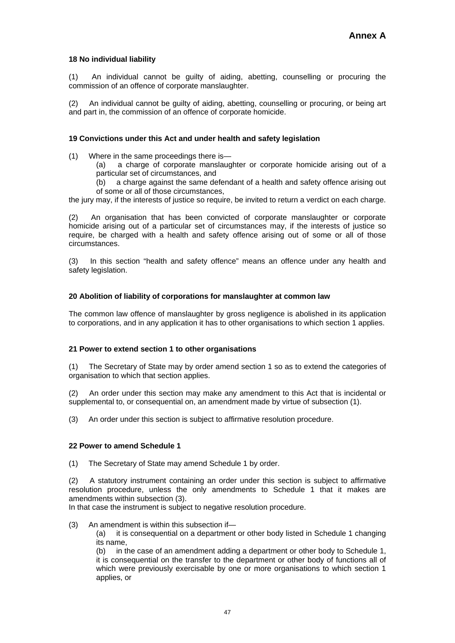#### **18 No individual liability**

(1) An individual cannot be guilty of aiding, abetting, counselling or procuring the commission of an offence of corporate manslaughter.

(2) An individual cannot be guilty of aiding, abetting, counselling or procuring, or being art and part in, the commission of an offence of corporate homicide.

#### **19 Convictions under this Act and under health and safety legislation**

- (1) Where in the same proceedings there is—
	- (a) a charge of corporate manslaughter or corporate homicide arising out of a particular set of circumstances, and
	- (b) a charge against the same defendant of a health and safety offence arising out of some or all of those circumstances,

the jury may, if the interests of justice so require, be invited to return a verdict on each charge.

(2) An organisation that has been convicted of corporate manslaughter or corporate homicide arising out of a particular set of circumstances may, if the interests of justice so require, be charged with a health and safety offence arising out of some or all of those circumstances.

(3) In this section "health and safety offence" means an offence under any health and safety legislation.

#### **20 Abolition of liability of corporations for manslaughter at common law**

The common law offence of manslaughter by gross negligence is abolished in its application to corporations, and in any application it has to other organisations to which section 1 applies.

#### **21 Power to extend section 1 to other organisations**

(1) The Secretary of State may by order amend section 1 so as to extend the categories of organisation to which that section applies.

(2) An order under this section may make any amendment to this Act that is incidental or supplemental to, or consequential on, an amendment made by virtue of subsection (1).

(3) An order under this section is subject to affirmative resolution procedure.

#### **22 Power to amend Schedule 1**

(1) The Secretary of State may amend Schedule 1 by order.

(2) A statutory instrument containing an order under this section is subject to affirmative resolution procedure, unless the only amendments to Schedule 1 that it makes are amendments within subsection (3).

In that case the instrument is subject to negative resolution procedure.

#### (3) An amendment is within this subsection if—

(a) it is consequential on a department or other body listed in Schedule 1 changing its name,

(b) in the case of an amendment adding a department or other body to Schedule 1, it is consequential on the transfer to the department or other body of functions all of which were previously exercisable by one or more organisations to which section 1 applies, or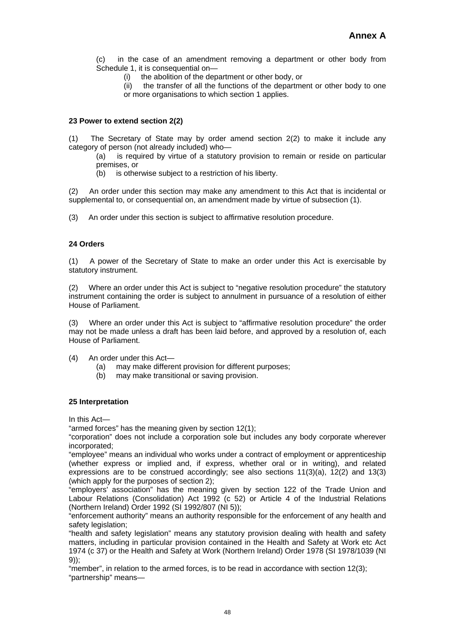(c) in the case of an amendment removing a department or other body from Schedule 1, it is consequential on—

(i) the abolition of the department or other body, or

(ii) the transfer of all the functions of the department or other body to one or more organisations to which section 1 applies.

#### **23 Power to extend section 2(2)**

(1) The Secretary of State may by order amend section 2(2) to make it include any category of person (not already included) who—

- (a) is required by virtue of a statutory provision to remain or reside on particular premises, or
- (b) is otherwise subject to a restriction of his liberty.

(2) An order under this section may make any amendment to this Act that is incidental or supplemental to, or consequential on, an amendment made by virtue of subsection (1).

(3) An order under this section is subject to affirmative resolution procedure.

#### **24 Orders**

(1) A power of the Secretary of State to make an order under this Act is exercisable by statutory instrument.

(2) Where an order under this Act is subject to "negative resolution procedure" the statutory instrument containing the order is subject to annulment in pursuance of a resolution of either House of Parliament.

(3) Where an order under this Act is subject to "affirmative resolution procedure" the order may not be made unless a draft has been laid before, and approved by a resolution of, each House of Parliament.

- (4) An order under this Act—
	- (a) may make different provision for different purposes;
	- (b) may make transitional or saving provision.

#### **25 Interpretation**

In this Act—

"armed forces" has the meaning given by section 12(1);

"corporation" does not include a corporation sole but includes any body corporate wherever incorporated;

"employee" means an individual who works under a contract of employment or apprenticeship (whether express or implied and, if express, whether oral or in writing), and related expressions are to be construed accordingly; see also sections  $11(3)(a)$ ,  $12(2)$  and  $13(3)$ (which apply for the purposes of section 2);

"employers' association" has the meaning given by [section 122](http://www.lexisnexis.com/uk/legal/search/runRemoteLink.do?service=citation&langcountry=GB&risb=21_T1853980797&A=0.6196259017782715&linkInfo=GB%23UK_ACTS%23num%251992_52a%25section%25122%25sect%25122%25&bct=A) of the Trade Union and Labour Relations (Consolidation) Act 1992 (c 52) or Article 4 of the Industrial Relations (Northern Ireland) Order 1992 [\(SI 1992/807](http://www.lexisnexis.com/uk/legal/search/runRemoteLink.do?service=citation&langcountry=GB&risb=21_T1853980797&A=0.1434615316207981&linkInfo=GB%23UK_SI%23num%251992_807s_Title%25&bct=A) (NI 5));

"enforcement authority" means an authority responsible for the enforcement of any health and safety legislation;

"health and safety legislation" means any statutory provision dealing with health and safety matters, including in particular provision contained in the [Health and Safety at Work etc Act](http://www.lexisnexis.com/uk/legal/search/runRemoteLink.do?service=citation&langcountry=GB&risb=21_T1853980797&A=0.8657268830053034&linkInfo=GB%23UK_ACTS%23num%251974_37a_Title%25&bct=A)  [1974 \(c 37\)](http://www.lexisnexis.com/uk/legal/search/runRemoteLink.do?service=citation&langcountry=GB&risb=21_T1853980797&A=0.8657268830053034&linkInfo=GB%23UK_ACTS%23num%251974_37a_Title%25&bct=A) or the Health and Safety at Work (Northern Ireland) Order 1978 ([SI 1978/1039](http://www.lexisnexis.com/uk/legal/search/runRemoteLink.do?service=citation&langcountry=GB&risb=21_T1853980797&A=0.22456473990620252&linkInfo=GB%23UK_SI%23num%251978_1039s_Title%25&bct=A) (NI 9));

"member", in relation to the armed forces, is to be read in accordance with section 12(3); "partnership" means—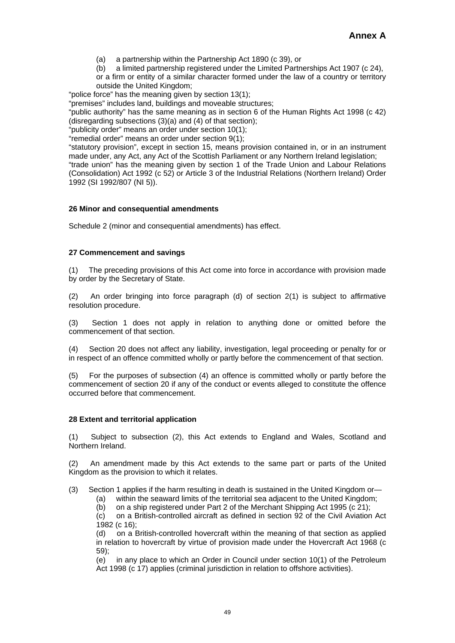- (a) a partnership within the [Partnership Act 1890 \(c 39\), o](http://www.lexisnexis.com/uk/legal/search/runRemoteLink.do?service=citation&langcountry=GB&risb=21_T1853980797&A=0.44340340581797555&linkInfo=GB%23UK_ACTS%23num%251890_39a_Title%25&bct=A)r
- (b) a limited partnership registered under the [Limited Partnerships Act 1907 \(c 24\),](http://www.lexisnexis.com/uk/legal/search/runRemoteLink.do?service=citation&langcountry=GB&risb=21_T1853980797&A=0.4163848406358104&linkInfo=GB%23UK_ACTS%23num%251907_24a_Title%25&bct=A)

or a firm or entity of a similar character formed under the law of a country or territory outside the United Kingdom;

"police force" has the meaning given by section 13(1);

"premises" includes land, buildings and moveable structures;

"public authority" has the same meaning as in [section 6](http://www.lexisnexis.com/uk/legal/search/runRemoteLink.do?service=citation&langcountry=GB&risb=21_T1853980797&A=0.020352718634281786&linkInfo=GB%23UK_ACTS%23num%251998_42a%25section%256%25sect%256%25&bct=A) of the Human Rights Act 1998 (c 42) (disregarding subsections (3)(a) and (4) of that section);

"publicity order" means an order under section 10(1);

"remedial order" means an order under section  $9(1)$ .

"statutory provision", except in section 15, means provision contained in, or in an instrument made under, any Act, any Act of the Scottish Parliament or any Northern Ireland legislation; "trade union" has the meaning given by [section 1](http://www.lexisnexis.com/uk/legal/search/runRemoteLink.do?service=citation&langcountry=GB&risb=21_T1853980797&A=0.3291081713578855&linkInfo=GB%23UK_ACTS%23num%251992_52a%25section%251%25sect%251%25&bct=A) of the Trade Union and Labour Relations (Consolidation) Act 1992 (c 52) or Article 3 of the Industrial Relations (Northern Ireland) Order 1992 [\(SI 1992/807](http://www.lexisnexis.com/uk/legal/search/runRemoteLink.do?service=citation&langcountry=GB&risb=21_T1853980797&A=0.7850260115006471&linkInfo=GB%23UK_SI%23num%251992_807s_Title%25&bct=A) (NI 5)).

#### **26 Minor and consequential amendments**

Schedule 2 (minor and consequential amendments) has effect.

#### **27 Commencement and savings**

(1) The preceding provisions of this Act come into force in accordance with provision made by order by the Secretary of State.

(2) An order bringing into force paragraph (d) of section 2(1) is subject to affirmative resolution procedure.

(3) Section 1 does not apply in relation to anything done or omitted before the commencement of that section.

(4) Section 20 does not affect any liability, investigation, legal proceeding or penalty for or in respect of an offence committed wholly or partly before the commencement of that section.

(5) For the purposes of subsection (4) an offence is committed wholly or partly before the commencement of section 20 if any of the conduct or events alleged to constitute the offence occurred before that commencement.

#### **28 Extent and territorial application**

(1) Subject to subsection (2), this Act extends to England and Wales, Scotland and Northern Ireland.

(2) An amendment made by this Act extends to the same part or parts of the United Kingdom as the provision to which it relates.

(3) Section 1 applies if the harm resulting in death is sustained in the United Kingdom or—

(a) within the seaward limits of the territorial sea adjacent to the United Kingdom;

(b) on a ship registered under [Part 2](http://www.lexisnexis.com/uk/legal/search/runRemoteLink.do?service=citation&langcountry=GB&risb=21_T1854052417&A=0.3753086684861948&linkInfo=GB%23UK_ACTS%23num%251995_21a%25part%252%25&bct=A) of the Merchant Shipping Act 1995 (c 21);

(c) on a British-controlled aircraft as defined in [section 92](http://www.lexisnexis.com/uk/legal/search/runRemoteLink.do?service=citation&langcountry=GB&risb=21_T1854052417&A=0.40232501805954646&linkInfo=GB%23UK_ACTS%23num%251982_16a%25section%2592%25sect%2592%25&bct=A) of the Civil Aviation Act 1982 (c 16);

(d) on a British-controlled hovercraft within the meaning of that section as applied in relation to hovercraft by virtue of provision made under the [Hovercraft Act 1968 \(c](http://www.lexisnexis.com/uk/legal/search/runRemoteLink.do?service=citation&langcountry=GB&risb=21_T1854052417&A=0.1367610155265383&linkInfo=GB%23UK_ACTS%23num%251968_59a_Title%25&bct=A)  [59\)](http://www.lexisnexis.com/uk/legal/search/runRemoteLink.do?service=citation&langcountry=GB&risb=21_T1854052417&A=0.1367610155265383&linkInfo=GB%23UK_ACTS%23num%251968_59a_Title%25&bct=A);

(e) in any place to which an Order in Council under [section 10\(1\)](http://www.lexisnexis.com/uk/legal/search/runRemoteLink.do?service=citation&langcountry=GB&risb=21_T1854052417&A=0.8049107974915536&linkInfo=GB%23UK_ACTS%23num%251998_17a%25section%2510%25sect%2510%25&bct=A) of the Petroleum Act 1998 (c 17) applies (criminal jurisdiction in relation to offshore activities).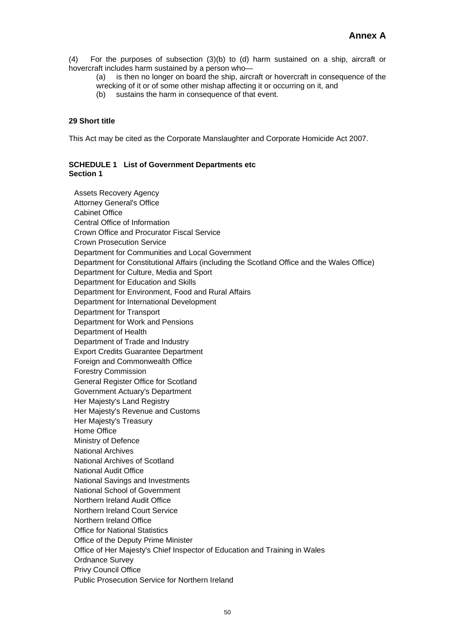(4) For the purposes of subsection (3)(b) to (d) harm sustained on a ship, aircraft or hovercraft includes harm sustained by a person who—

(a) is then no longer on board the ship, aircraft or hovercraft in consequence of the wrecking of it or of some other mishap affecting it or occurring on it, and

(b) sustains the harm in consequence of that event.

#### **29 Short title**

This Act may be cited as the Corporate Manslaughter and Corporate Homicide Act 2007.

#### **SCHEDULE 1 List of Government Departments etc Section 1**

 Assets Recovery Agency Attorney General's Office Cabinet Office Central Office of Information Crown Office and Procurator Fiscal Service Crown Prosecution Service Department for Communities and Local Government Department for Constitutional Affairs (including the Scotland Office and the Wales Office) Department for Culture, Media and Sport Department for Education and Skills Department for Environment, Food and Rural Affairs Department for International Development Department for Transport Department for Work and Pensions Department of Health Department of Trade and Industry Export Credits Guarantee Department Foreign and Commonwealth Office Forestry Commission General Register Office for Scotland Government Actuary's Department Her Majesty's Land Registry Her Majesty's Revenue and Customs Her Majesty's Treasury Home Office Ministry of Defence National Archives National Archives of Scotland National Audit Office National Savings and Investments National School of Government Northern Ireland Audit Office Northern Ireland Court Service Northern Ireland Office Office for National Statistics Office of the Deputy Prime Minister Office of Her Majesty's Chief Inspector of Education and Training in Wales Ordnance Survey Privy Council Office Public Prosecution Service for Northern Ireland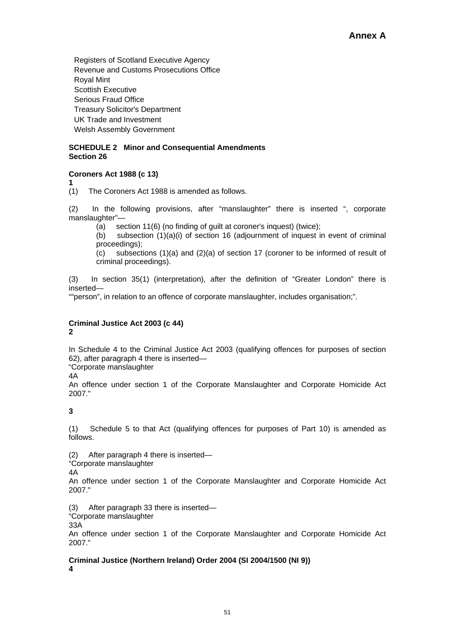Registers of Scotland Executive Agency Revenue and Customs Prosecutions Office Royal Mint Scottish Executive Serious Fraud Office Treasury Solicitor's Department UK Trade and Investment Welsh Assembly Government

#### **SCHEDULE 2 Minor and Consequential Amendments Section 26**

#### **[Coroners Act 1988 \(c 13\)](http://www.lexisnexis.com/uk/legal/search/runRemoteLink.do?service=citation&langcountry=GB&risb=21_T1854052497&A=0.09918650651012728&linkInfo=GB%23UK_ACTS%23num%251988_13a_Title%25&bct=A)**

**1** 

(1) The [Coroners Act 1988](http://www.lexisnexis.com/uk/legal/search/runRemoteLink.do?service=citation&langcountry=GB&risb=21_T1854052497&A=0.7418281325447543&linkInfo=GB%23UK_ACTS%23num%251988_13a_Title%25&bct=A) is amended as follows.

(2) In the following provisions, after "manslaughter" there is inserted ", corporate manslaughter"—

(a) section 11(6) (no finding of guilt at coroner's inquest) (twice);

(b) subsection (1)(a)(i) of section 16 (adjournment of inquest in event of criminal proceedings);

(c) subsections (1)(a) and (2)(a) of section 17 (coroner to be informed of result of criminal proceedings).

(3) In section 35(1) (interpretation), after the definition of "Greater London" there is inserted—

""person", in relation to an offence of corporate manslaughter, includes organisation;".

### **[Criminal Justice Act 2003 \(c 44\)](http://www.lexisnexis.com/uk/legal/search/runRemoteLink.do?service=citation&langcountry=GB&risb=21_T1854052497&A=0.3483341029809811&linkInfo=GB%23UK_ACTS%23num%252003_44a_Title%25&bct=A)**

**2** 

In Schedule 4 to the [Criminal Justice Act 2003](http://www.lexisnexis.com/uk/legal/search/runRemoteLink.do?service=citation&langcountry=GB&risb=21_T1854052497&A=0.5573072604869189&linkInfo=GB%23UK_ACTS%23num%252003_44a_Title%25&bct=A) (qualifying offences for purposes of section 62), after paragraph 4 there is inserted—

"Corporate manslaughter

4A

An offence under section 1 of the Corporate Manslaughter and Corporate Homicide Act 2007."

**3** 

(1) Schedule 5 to that Act (qualifying offences for purposes of Part 10) is amended as follows.

(2) After paragraph 4 there is inserted— "Corporate manslaughter 4A An offence under section 1 of the Corporate Manslaughter and Corporate Homicide Act 2007."

(3) After paragraph 33 there is inserted—

"Corporate manslaughter

33A

An offence under section 1 of the Corporate Manslaughter and Corporate Homicide Act 2007."

#### **Criminal Justice (Northern Ireland) Order 2004 ([SI 2004/1500](http://www.lexisnexis.com/uk/legal/search/runRemoteLink.do?service=citation&langcountry=GB&risb=21_T1854052497&A=0.8458608597937491&linkInfo=GB%23UK_SI%23num%252004_1500s_Title%25&bct=A) (NI 9)) 4**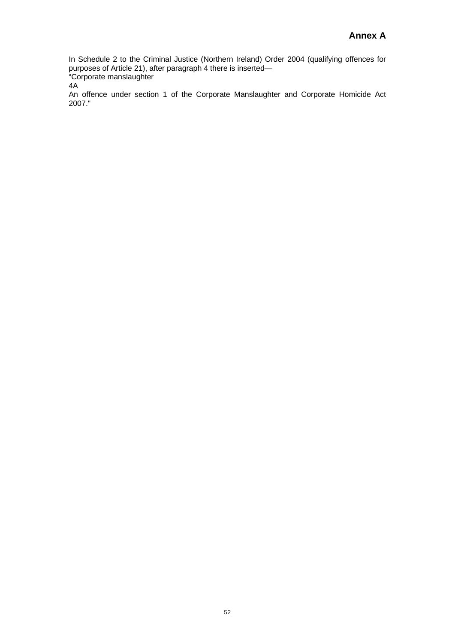In Schedule 2 to the Criminal Justice (Northern Ireland) Order 2004 (qualifying offences for purposes of Article 21), after paragraph 4 there is inserted— "Corporate manslaughter

4A

An offence under section 1 of the Corporate Manslaughter and Corporate Homicide Act 2007."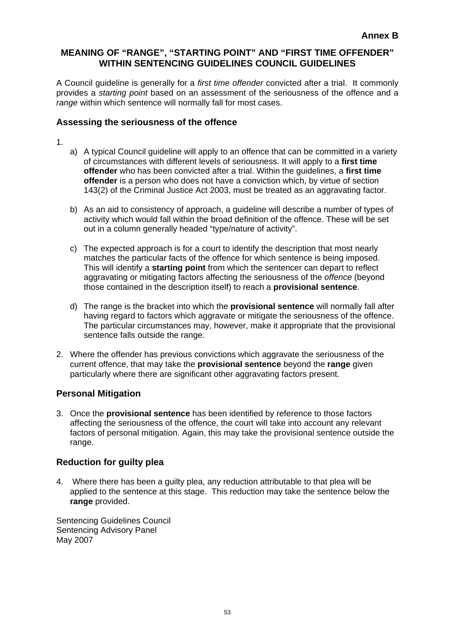# **MEANING OF "RANGE", "STARTING POINT" AND "FIRST TIME OFFENDER" WITHIN SENTENCING GUIDELINES COUNCIL GUIDELINES**

A Council guideline is generally for a *first time offender* convicted after a trial. It commonly provides a *starting point* based on an assessment of the seriousness of the offence and a *range* within which sentence will normally fall for most cases.

# **Assessing the seriousness of the offence**

- 1.
- a) A typical Council guideline will apply to an offence that can be committed in a variety of circumstances with different levels of seriousness. It will apply to a **first time offender** who has been convicted after a trial. Within the guidelines, a **first time offender** is a person who does not have a conviction which, by virtue of section 143(2) of the Criminal Justice Act 2003, must be treated as an aggravating factor.
- b) As an aid to consistency of approach, a guideline will describe a number of types of activity which would fall within the broad definition of the offence. These will be set out in a column generally headed "type/nature of activity".
- c) The expected approach is for a court to identify the description that most nearly matches the particular facts of the offence for which sentence is being imposed. This will identify a **starting point** from which the sentencer can depart to reflect aggravating or mitigating factors affecting the seriousness of the *offence* (beyond those contained in the description itself) to reach a **provisional sentence**.
- d) The range is the bracket into which the **provisional sentence** will normally fall after having regard to factors which aggravate or mitigate the seriousness of the offence. The particular circumstances may, however, make it appropriate that the provisional sentence falls outside the range.
- 2. Where the offender has previous convictions which aggravate the seriousness of the current offence, that may take the **provisional sentence** beyond the **range** given particularly where there are significant other aggravating factors present.

# **Personal Mitigation**

3. Once the **provisional sentence** has been identified by reference to those factors affecting the seriousness of the offence, the court will take into account any relevant factors of personal mitigation. Again, this may take the provisional sentence outside the range.

# **Reduction for guilty plea**

4. Where there has been a guilty plea, any reduction attributable to that plea will be applied to the sentence at this stage. This reduction may take the sentence below the **range** provided.

Sentencing Guidelines Council Sentencing Advisory Panel May 2007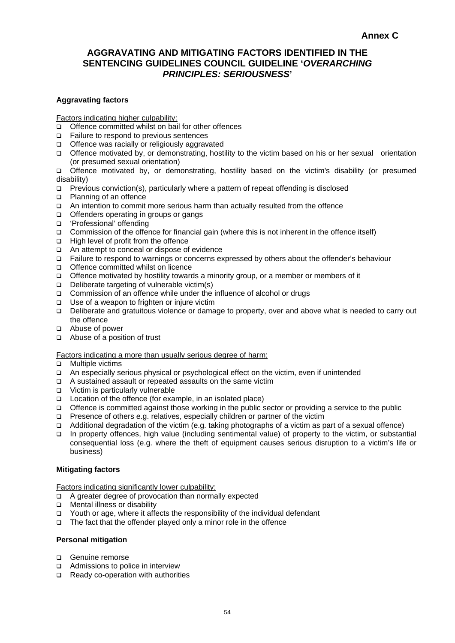### **AGGRAVATING AND MITIGATING FACTORS IDENTIFIED IN THE SENTENCING GUIDELINES COUNCIL GUIDELINE '***OVERARCHING PRINCIPLES: SERIOUSNESS***'**

#### **Aggravating factors**

Factors indicating higher culpability:

- □ Offence committed whilst on bail for other offences
- □ Failure to respond to previous sentences
- □ Offence was racially or religiously aggravated
- Offence motivated by, or demonstrating, hostility to the victim based on his or her sexual orientation (or presumed sexual orientation)

 Offence motivated by, or demonstrating, hostility based on the victim's disability (or presumed disability)

- □ Previous conviction(s), particularly where a pattern of repeat offending is disclosed
- **Planning of an offence**
- $\Box$  An intention to commit more serious harm than actually resulted from the offence
- □ Offenders operating in groups or gangs
- □ 'Professional' offending
- □ Commission of the offence for financial gain (where this is not inherent in the offence itself)
- $\Box$  High level of profit from the offence
- An attempt to conceal or dispose of evidence
- □ Failure to respond to warnings or concerns expressed by others about the offender's behaviour
- □ Offence committed whilst on licence
- Offence motivated by hostility towards a minority group, or a member or members of it
- $\Box$  Deliberate targeting of vulnerable victim(s)
- □ Commission of an offence while under the influence of alcohol or drugs
- □ Use of a weapon to frighten or injure victim
- Deliberate and gratuitous violence or damage to property, over and above what is needed to carry out the offence
- Abuse of power
- □ Abuse of a position of trust

Factors indicating a more than usually serious degree of harm:

- **D** Multiple victims
- An especially serious physical or psychological effect on the victim, even if unintended
- A sustained assault or repeated assaults on the same victim
- □ Victim is particularly vulnerable
- Location of the offence (for example, in an isolated place)
- Offence is committed against those working in the public sector or providing a service to the public
- **Presence of others e.g. relatives, especially children or partner of the victim**
- Additional degradation of the victim (e.g. taking photographs of a victim as part of a sexual offence)
- □ In property offences, high value (including sentimental value) of property to the victim, or substantial consequential loss (e.g. where the theft of equipment causes serious disruption to a victim's life or business)

#### **Mitigating factors**

Factors indicating significantly lower culpability:

- A greater degree of provocation than normally expected
- □ Mental illness or disability
- □ Youth or age, where it affects the responsibility of the individual defendant
- $\Box$  The fact that the offender played only a minor role in the offence

### **Personal mitigation**

- Genuine remorse
- Admissions to police in interview
- $\Box$  Ready co-operation with authorities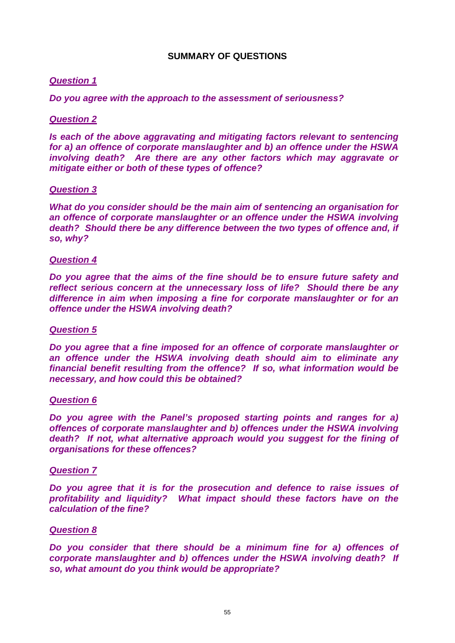### **SUMMARY OF QUESTIONS**

### *Question 1*

*Do you agree with the approach to the assessment of seriousness?* 

### *Question 2*

*Is each of the above aggravating and mitigating factors relevant to sentencing for a) an offence of corporate manslaughter and b) an offence under the HSWA involving death? Are there are any other factors which may aggravate or mitigate either or both of these types of offence?* 

#### *Question 3*

*What do you consider should be the main aim of sentencing an organisation for*  an offence of corporate manslaughter or an offence under the HSWA involving *death? Should there be any difference between the two types of offence and, if so, why?* 

#### *Question 4*

*Do you agree that the aims of the fine should be to ensure future safety and reflect serious concern at the unnecessary loss of life? Should there be any difference in aim when imposing a fine for corporate manslaughter or for an offence under the HSWA involving death?* 

#### *Question 5*

*Do you agree that a fine imposed for an offence of corporate manslaughter or an offence under the HSWA involving death should aim to eliminate any financial benefit resulting from the offence? If so, what information would be necessary, and how could this be obtained?* 

#### *Question 6*

*Do you agree with the Panel's proposed starting points and ranges for a) offences of corporate manslaughter and b) offences under the HSWA involving death? If not, what alternative approach would you suggest for the fining of organisations for these offences?* 

#### *Question 7*

*Do you agree that it is for the prosecution and defence to raise issues of profitability and liquidity? What impact should these factors have on the calculation of the fine?* 

#### *Question 8*

*Do you consider that there should be a minimum fine for a) offences of corporate manslaughter and b) offences under the HSWA involving death? If so, what amount do you think would be appropriate?*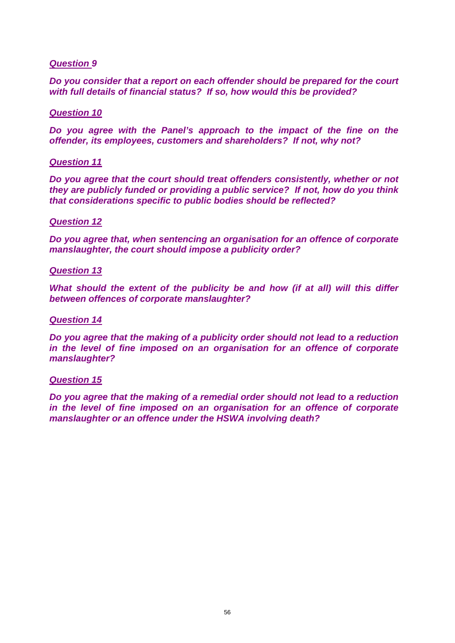### *Question 9*

*Do you consider that a report on each offender should be prepared for the court with full details of financial status? If so, how would this be provided?* 

### *Question 10*

*Do you agree with the Panel's approach to the impact of the fine on the offender, its employees, customers and shareholders? If not, why not?*

### *Question 11*

*Do you agree that the court should treat offenders consistently, whether or not they are publicly funded or providing a public service? If not, how do you think that considerations specific to public bodies should be reflected?* 

### *Question 12*

*Do you agree that, when sentencing an organisation for an offence of corporate manslaughter, the court should impose a publicity order?* 

#### *Question 13*

*What should the extent of the publicity be and how (if at all) will this differ between offences of corporate manslaughter?* 

#### *Question 14*

*Do you agree that the making of a publicity order should not lead to a reduction in the level of fine imposed on an organisation for an offence of corporate manslaughter?* 

#### *Question 15*

*Do you agree that the making of a remedial order should not lead to a reduction in the level of fine imposed on an organisation for an offence of corporate manslaughter or an offence under the HSWA involving death?*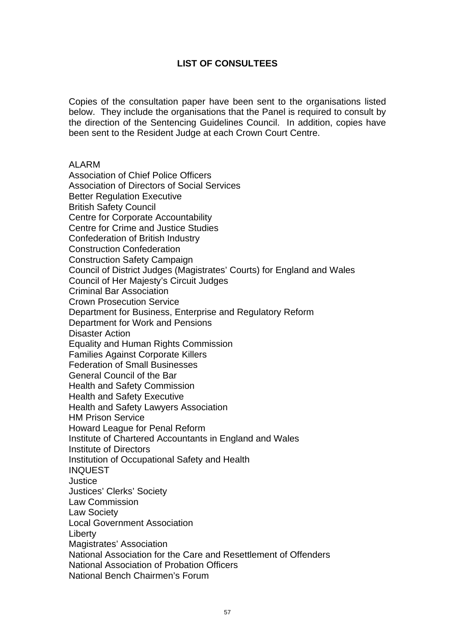# **LIST OF CONSULTEES**

Copies of the consultation paper have been sent to the organisations listed below. They include the organisations that the Panel is required to consult by the direction of the Sentencing Guidelines Council. In addition, copies have been sent to the Resident Judge at each Crown Court Centre.

ALARM

Association of Chief Police Officers Association of Directors of Social Services Better Regulation Executive British Safety Council Centre for Corporate Accountability Centre for Crime and Justice Studies Confederation of British Industry Construction Confederation Construction Safety Campaign Council of District Judges (Magistrates' Courts) for England and Wales Council of Her Majesty's Circuit Judges Criminal Bar Association Crown Prosecution Service Department for Business, Enterprise and Regulatory Reform Department for Work and Pensions Disaster Action Equality and Human Rights Commission Families Against Corporate Killers Federation of Small Businesses General Council of the Bar Health and Safety Commission Health and Safety Executive Health and Safety Lawyers Association HM Prison Service Howard League for Penal Reform Institute of Chartered Accountants in England and Wales Institute of Directors Institution of Occupational Safety and Health INQUEST Justice Justices' Clerks' Society Law Commission Law Society Local Government Association Liberty Magistrates' Association National Association for the Care and Resettlement of Offenders National Association of Probation Officers National Bench Chairmen's Forum